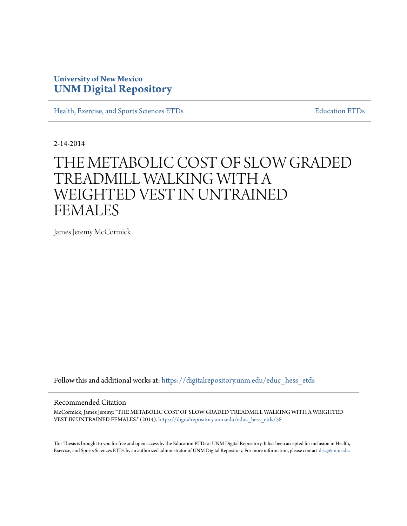# **University of New Mexico [UNM Digital Repository](https://digitalrepository.unm.edu?utm_source=digitalrepository.unm.edu%2Feduc_hess_etds%2F58&utm_medium=PDF&utm_campaign=PDFCoverPages)**

[Health, Exercise, and Sports Sciences ETDs](https://digitalrepository.unm.edu/educ_hess_etds?utm_source=digitalrepository.unm.edu%2Feduc_hess_etds%2F58&utm_medium=PDF&utm_campaign=PDFCoverPages) [Education ETDs](https://digitalrepository.unm.edu/educ_etds?utm_source=digitalrepository.unm.edu%2Feduc_hess_etds%2F58&utm_medium=PDF&utm_campaign=PDFCoverPages)

2-14-2014

# THE METABOLIC COST OF SLOW GRADED TREADMILL WALKING WITH A WEIGHTED VEST IN UNTRAINED FEMALES

James Jeremy McCormick

Follow this and additional works at: [https://digitalrepository.unm.edu/educ\\_hess\\_etds](https://digitalrepository.unm.edu/educ_hess_etds?utm_source=digitalrepository.unm.edu%2Feduc_hess_etds%2F58&utm_medium=PDF&utm_campaign=PDFCoverPages)

#### Recommended Citation

McCormick, James Jeremy. "THE METABOLIC COST OF SLOW GRADED TREADMILL WALKING WITH A WEIGHTED VEST IN UNTRAINED FEMALES." (2014). [https://digitalrepository.unm.edu/educ\\_hess\\_etds/58](https://digitalrepository.unm.edu/educ_hess_etds/58?utm_source=digitalrepository.unm.edu%2Feduc_hess_etds%2F58&utm_medium=PDF&utm_campaign=PDFCoverPages)

This Thesis is brought to you for free and open access by the Education ETDs at UNM Digital Repository. It has been accepted for inclusion in Health, Exercise, and Sports Sciences ETDs by an authorized administrator of UNM Digital Repository. For more information, please contact [disc@unm.edu.](mailto:disc@unm.edu)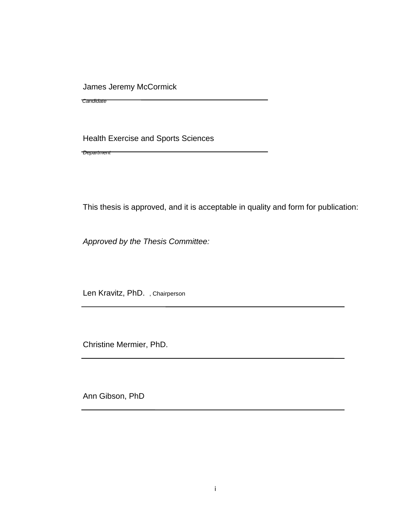James Jeremy McCormick

 *Candidate*

Health Exercise and Sports Sciences

*Department*

This thesis is approved, and it is acceptable in quality and form for publication:

*Approved by the Thesis Committee:*

Len Kravitz, PhD. , Chairperson

Christine Mermier, PhD.

Ann Gibson, PhD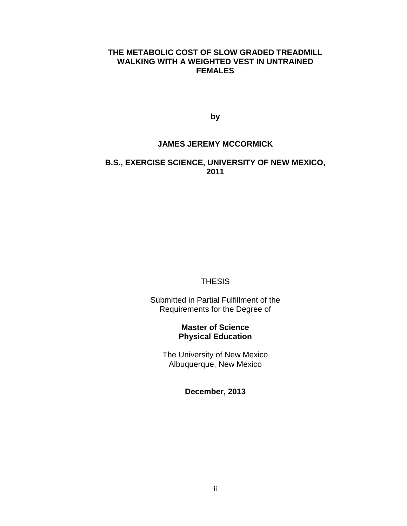## **THE METABOLIC COST OF SLOW GRADED TREADMILL WALKING WITH A WEIGHTED VEST IN UNTRAINED FEMALES**

**by**

### **JAMES JEREMY MCCORMICK**

## **B.S., EXERCISE SCIENCE, UNIVERSITY OF NEW MEXICO, 2011**

#### **THESIS**

Submitted in Partial Fulfillment of the Requirements for the Degree of

## **Master of Science Physical Education**

The University of New Mexico Albuquerque, New Mexico

**December, 2013**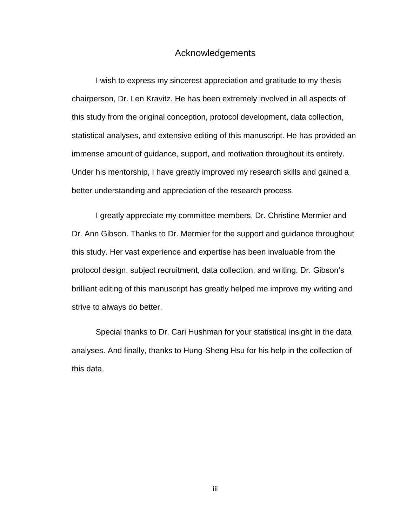## Acknowledgements

I wish to express my sincerest appreciation and gratitude to my thesis chairperson, Dr. Len Kravitz. He has been extremely involved in all aspects of this study from the original conception, protocol development, data collection, statistical analyses, and extensive editing of this manuscript. He has provided an immense amount of guidance, support, and motivation throughout its entirety. Under his mentorship, I have greatly improved my research skills and gained a better understanding and appreciation of the research process.

I greatly appreciate my committee members, Dr. Christine Mermier and Dr. Ann Gibson. Thanks to Dr. Mermier for the support and guidance throughout this study. Her vast experience and expertise has been invaluable from the protocol design, subject recruitment, data collection, and writing. Dr. Gibson's brilliant editing of this manuscript has greatly helped me improve my writing and strive to always do better.

Special thanks to Dr. Cari Hushman for your statistical insight in the data analyses. And finally, thanks to Hung-Sheng Hsu for his help in the collection of this data.

iii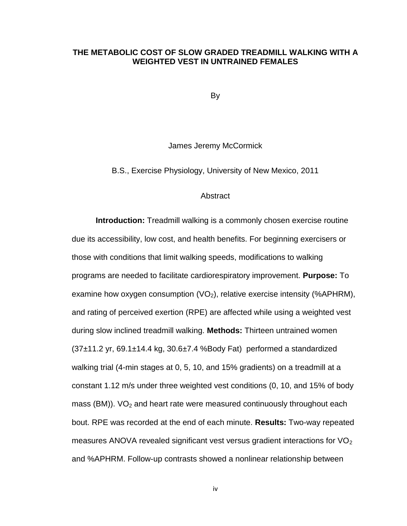### **THE METABOLIC COST OF SLOW GRADED TREADMILL WALKING WITH A WEIGHTED VEST IN UNTRAINED FEMALES**

By

James Jeremy McCormick

B.S., Exercise Physiology, University of New Mexico, 2011

#### **Abstract**

**Introduction:** Treadmill walking is a commonly chosen exercise routine due its accessibility, low cost, and health benefits. For beginning exercisers or those with conditions that limit walking speeds, modifications to walking programs are needed to facilitate cardiorespiratory improvement. **Purpose:** To examine how oxygen consumption  $(VO_2)$ , relative exercise intensity (%APHRM), and rating of perceived exertion (RPE) are affected while using a weighted vest during slow inclined treadmill walking. **Methods:** Thirteen untrained women  $(37±11.2 \text{ yr}, 69.1±14.4 \text{ kg}, 30.6±7.4 %Body Fat)$  performed a standardized walking trial (4-min stages at 0, 5, 10, and 15% gradients) on a treadmill at a constant 1.12 m/s under three weighted vest conditions (0, 10, and 15% of body mass (BM)).  $VO<sub>2</sub>$  and heart rate were measured continuously throughout each bout. RPE was recorded at the end of each minute. **Results:** Two-way repeated measures ANOVA revealed significant vest versus gradient interactions for  $VO<sub>2</sub>$ and %APHRM. Follow-up contrasts showed a nonlinear relationship between

iv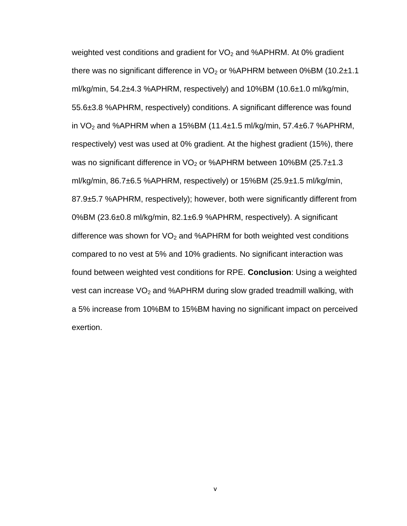weighted vest conditions and gradient for  $VO<sub>2</sub>$  and %APHRM. At 0% gradient there was no significant difference in  $VO<sub>2</sub>$  or %APHRM between 0%BM (10.2 $\pm$ 1.1 ml/kg/min, 54.2±4.3 %APHRM, respectively) and 10%BM (10.6±1.0 ml/kg/min, 55.6±3.8 %APHRM, respectively) conditions. A significant difference was found in  $VO<sub>2</sub>$  and %APHRM when a 15%BM (11.4 $\pm$ 1.5 ml/kg/min, 57.4 $\pm$ 6.7 %APHRM, respectively) vest was used at 0% gradient. At the highest gradient (15%), there was no significant difference in  $VO<sub>2</sub>$  or %APHRM between 10%BM (25.7 $\pm$ 1.3 ml/kg/min, 86.7±6.5 %APHRM, respectively) or 15%BM (25.9±1.5 ml/kg/min, 87.9±5.7 %APHRM, respectively); however, both were significantly different from 0%BM (23.6±0.8 ml/kg/min, 82.1±6.9 %APHRM, respectively). A significant difference was shown for  $VO<sub>2</sub>$  and %APHRM for both weighted vest conditions compared to no vest at 5% and 10% gradients. No significant interaction was found between weighted vest conditions for RPE. **Conclusion**: Using a weighted vest can increase  $VO<sub>2</sub>$  and %APHRM during slow graded treadmill walking, with a 5% increase from 10%BM to 15%BM having no significant impact on perceived exertion.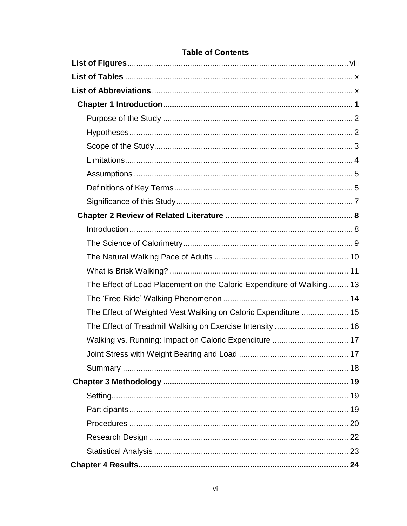| The Effect of Load Placement on the Caloric Expenditure of Walking 13 |  |
|-----------------------------------------------------------------------|--|
|                                                                       |  |
| The Effect of Weighted Vest Walking on Caloric Expenditure  15        |  |
| The Effect of Treadmill Walking on Exercise Intensity  16             |  |
| Walking vs. Running: Impact on Caloric Expenditure  17                |  |
|                                                                       |  |
|                                                                       |  |
|                                                                       |  |
|                                                                       |  |
|                                                                       |  |
|                                                                       |  |
|                                                                       |  |
|                                                                       |  |
|                                                                       |  |

## **Table of Contents**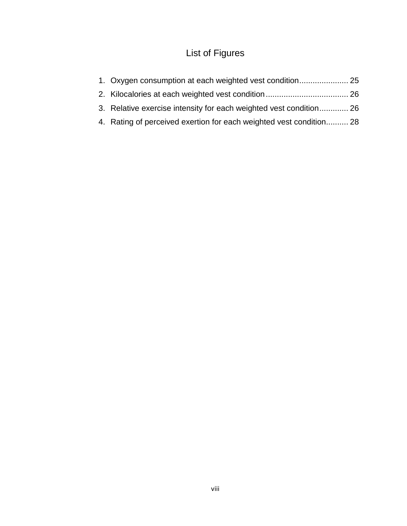# List of Figures

| 1. Oxygen consumption at each weighted vest condition 25            |  |
|---------------------------------------------------------------------|--|
|                                                                     |  |
| 3. Relative exercise intensity for each weighted vest condition 26  |  |
| 4. Rating of perceived exertion for each weighted vest condition 28 |  |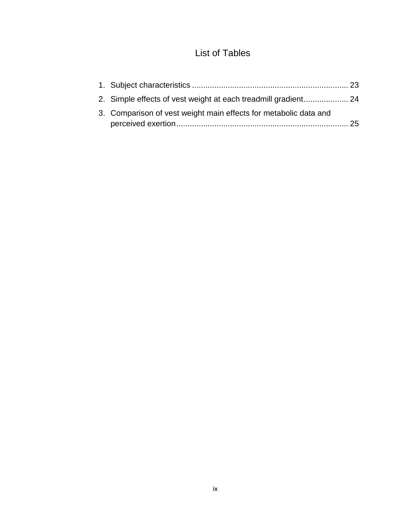# List of Tables

| 2. Simple effects of vest weight at each treadmill gradient 24   |  |
|------------------------------------------------------------------|--|
| 3. Comparison of vest weight main effects for metabolic data and |  |
|                                                                  |  |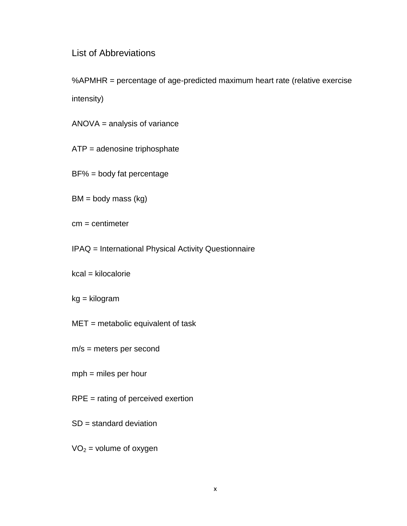# List of Abbreviations

%APMHR = percentage of age-predicted maximum heart rate (relative exercise intensity)

ANOVA = analysis of variance

ATP = adenosine triphosphate

BF% = body fat percentage

 $BM = body$  mass (kg)

cm = centimeter

IPAQ = International Physical Activity Questionnaire

kcal = kilocalorie

kg = kilogram

 $MET = metabolic equivalent of task$ 

m/s = meters per second

mph = miles per hour

RPE = rating of perceived exertion

SD = standard deviation

 $VO<sub>2</sub> = volume of oxygen$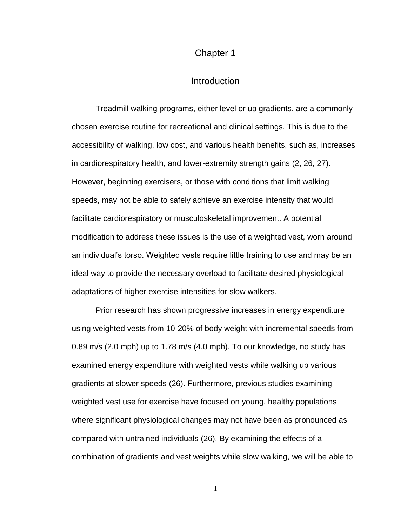## Chapter 1

## **Introduction**

Treadmill walking programs, either level or up gradients, are a commonly chosen exercise routine for recreational and clinical settings. This is due to the accessibility of walking, low cost, and various health benefits, such as, increases in cardiorespiratory health, and lower-extremity strength gains [\(2,](#page-62-0) [26,](#page-65-0) [27\)](#page-65-1). However, beginning exercisers, or those with conditions that limit walking speeds, may not be able to safely achieve an exercise intensity that would facilitate cardiorespiratory or musculoskeletal improvement. A potential modification to address these issues is the use of a weighted vest, worn around an individual's torso. Weighted vests require little training to use and may be an ideal way to provide the necessary overload to facilitate desired physiological adaptations of higher exercise intensities for slow walkers.

Prior research has shown progressive increases in energy expenditure using weighted vests from 10-20% of body weight with incremental speeds from 0.89 m/s (2.0 mph) up to 1.78 m/s (4.0 mph). To our knowledge, no study has examined energy expenditure with weighted vests while walking up various gradients at slower speeds [\(26\)](#page-65-0). Furthermore, previous studies examining weighted vest use for exercise have focused on young, healthy populations where significant physiological changes may not have been as pronounced as compared with untrained individuals [\(26\)](#page-65-0). By examining the effects of a combination of gradients and vest weights while slow walking, we will be able to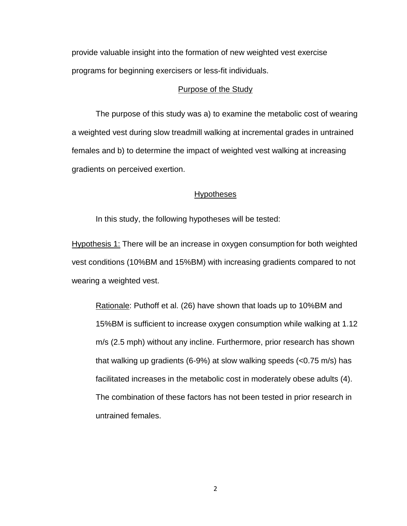provide valuable insight into the formation of new weighted vest exercise programs for beginning exercisers or less-fit individuals.

#### Purpose of the Study

The purpose of this study was a) to examine the metabolic cost of wearing a weighted vest during slow treadmill walking at incremental grades in untrained females and b) to determine the impact of weighted vest walking at increasing gradients on perceived exertion.

### **Hypotheses**

In this study, the following hypotheses will be tested:

Hypothesis 1: There will be an increase in oxygen consumption for both weighted vest conditions (10%BM and 15%BM) with increasing gradients compared to not wearing a weighted vest.

Rationale: Puthoff et al. [\(26\)](#page-65-0) have shown that loads up to 10%BM and 15%BM is sufficient to increase oxygen consumption while walking at 1.12 m/s (2.5 mph) without any incline. Furthermore, prior research has shown that walking up gradients (6-9%) at slow walking speeds (<0.75 m/s) has facilitated increases in the metabolic cost in moderately obese adults [\(4\)](#page-62-1). The combination of these factors has not been tested in prior research in untrained females.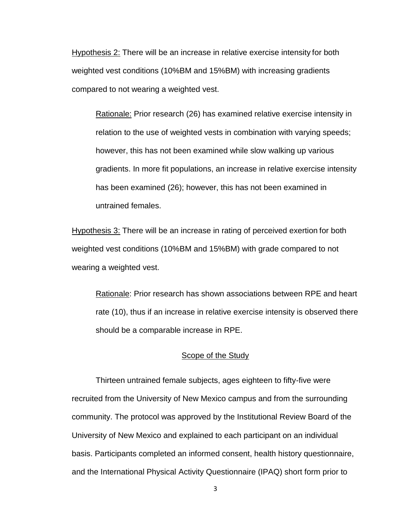Hypothesis 2: There will be an increase in relative exercise intensity for both weighted vest conditions (10%BM and 15%BM) with increasing gradients compared to not wearing a weighted vest.

Rationale: Prior research [\(26\)](#page-65-0) has examined relative exercise intensity in relation to the use of weighted vests in combination with varying speeds; however, this has not been examined while slow walking up various gradients. In more fit populations, an increase in relative exercise intensity has been examined [\(26\)](#page-65-0); however, this has not been examined in untrained females.

Hypothesis 3: There will be an increase in rating of perceived exertion for both weighted vest conditions (10%BM and 15%BM) with grade compared to not wearing a weighted vest.

Rationale: Prior research has shown associations between RPE and heart rate [\(10\)](#page-63-0), thus if an increase in relative exercise intensity is observed there should be a comparable increase in RPE.

#### Scope of the Study

Thirteen untrained female subjects, ages eighteen to fifty-five were recruited from the University of New Mexico campus and from the surrounding community. The protocol was approved by the Institutional Review Board of the University of New Mexico and explained to each participant on an individual basis. Participants completed an informed consent, health history questionnaire, and the International Physical Activity Questionnaire (IPAQ) short form prior to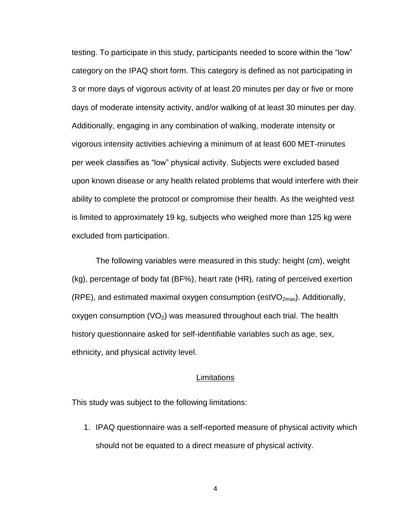testing. To participate in this study, participants needed to score within the "low" category on the IPAQ short form. This category is defined as not participating in 3 or more days of vigorous activity of at least 20 minutes per day or five or more days of moderate intensity activity, and/or walking of at least 30 minutes per day. Additionally, engaging in any combination of walking, moderate intensity or vigorous intensity activities achieving a minimum of at least 600 MET-minutes per week classifies as "low" physical activity. Subjects were excluded based upon known disease or any health related problems that would interfere with their ability to complete the protocol or compromise their health. As the weighted vest is limited to approximately 19 kg, subjects who weighed more than 125 kg were excluded from participation.

The following variables were measured in this study: height (cm), weight (kg), percentage of body fat (BF%), heart rate (HR), rating of perceived exertion (RPE), and estimated maximal oxygen consumption (est VO<sub>2max</sub>). Additionally, oxygen consumption  $(VO<sub>2</sub>)$  was measured throughout each trial. The health history questionnaire asked for self-identifiable variables such as age, sex, ethnicity, and physical activity level.

#### **Limitations**

This study was subject to the following limitations:

1. IPAQ questionnaire was a self-reported measure of physical activity which should not be equated to a direct measure of physical activity.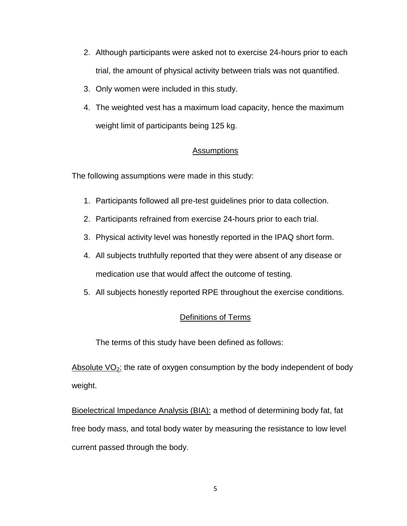- 2. Although participants were asked not to exercise 24-hours prior to each trial, the amount of physical activity between trials was not quantified.
- 3. Only women were included in this study.
- 4. The weighted vest has a maximum load capacity, hence the maximum weight limit of participants being 125 kg.

## **Assumptions**

The following assumptions were made in this study:

- 1. Participants followed all pre-test guidelines prior to data collection.
- 2. Participants refrained from exercise 24-hours prior to each trial.
- 3. Physical activity level was honestly reported in the IPAQ short form.
- 4. All subjects truthfully reported that they were absent of any disease or medication use that would affect the outcome of testing.
- 5. All subjects honestly reported RPE throughout the exercise conditions.

## Definitions of Terms

The terms of this study have been defined as follows:

Absolute  $VO<sub>2</sub>$ : the rate of oxygen consumption by the body independent of body weight.

Bioelectrical Impedance Analysis (BIA): a method of determining body fat, fat free body mass, and total body water by measuring the resistance to low level current passed through the body.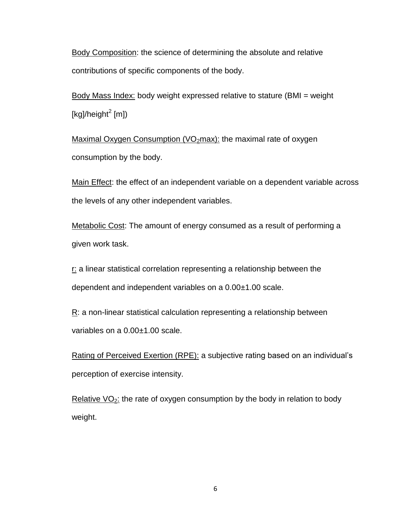Body Composition: the science of determining the absolute and relative contributions of specific components of the body.

Body Mass Index: body weight expressed relative to stature (BMI = weight [kg]/height<sup>2</sup> [m])

Maximal Oxygen Consumption ( $VO<sub>2</sub>$ max): the maximal rate of oxygen consumption by the body.

Main Effect: the effect of an independent variable on a dependent variable across the levels of any other independent variables.

Metabolic Cost: The amount of energy consumed as a result of performing a given work task.

 $r$ : a linear statistical correlation representing a relationship between the dependent and independent variables on a 0.00±1.00 scale.

R: a non-linear statistical calculation representing a relationship between variables on a 0.00±1.00 scale.

Rating of Perceived Exertion (RPE): a subjective rating based on an individual's perception of exercise intensity.

Relative  $VO<sub>2</sub>$ : the rate of oxygen consumption by the body in relation to body weight.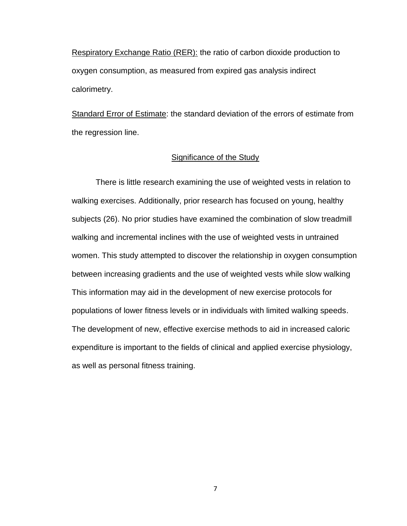Respiratory Exchange Ratio (RER): the ratio of carbon dioxide production to oxygen consumption, as measured from expired gas analysis indirect calorimetry.

Standard Error of Estimate: the standard deviation of the errors of estimate from the regression line.

#### Significance of the Study

There is little research examining the use of weighted vests in relation to walking exercises. Additionally, prior research has focused on young, healthy subjects [\(26\)](#page-65-0). No prior studies have examined the combination of slow treadmill walking and incremental inclines with the use of weighted vests in untrained women. This study attempted to discover the relationship in oxygen consumption between increasing gradients and the use of weighted vests while slow walking This information may aid in the development of new exercise protocols for populations of lower fitness levels or in individuals with limited walking speeds. The development of new, effective exercise methods to aid in increased caloric expenditure is important to the fields of clinical and applied exercise physiology, as well as personal fitness training.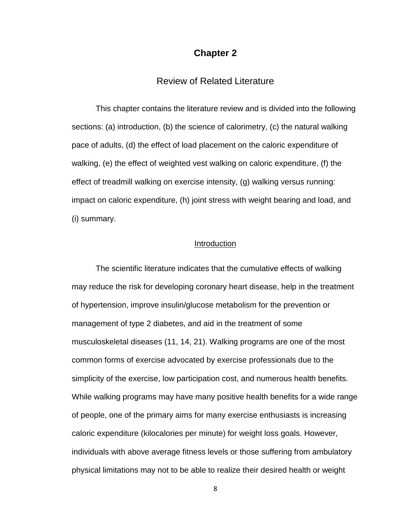## **Chapter 2**

## Review of Related Literature

This chapter contains the literature review and is divided into the following sections: (a) introduction, (b) the science of calorimetry, (c) the natural walking pace of adults, (d) the effect of load placement on the caloric expenditure of walking, (e) the effect of weighted vest walking on caloric expenditure, (f) the effect of treadmill walking on exercise intensity, (g) walking versus running: impact on caloric expenditure, (h) joint stress with weight bearing and load, and (i) summary.

#### Introduction

The scientific literature indicates that the cumulative effects of walking may reduce the risk for developing coronary heart disease, help in the treatment of hypertension, improve insulin/glucose metabolism for the prevention or management of type 2 diabetes, and aid in the treatment of some musculoskeletal diseases [\(11,](#page-63-1) [14,](#page-63-2) [21\)](#page-64-0). Walking programs are one of the most common forms of exercise advocated by exercise professionals due to the simplicity of the exercise, low participation cost, and numerous health benefits. While walking programs may have many positive health benefits for a wide range of people, one of the primary aims for many exercise enthusiasts is increasing caloric expenditure (kilocalories per minute) for weight loss goals. However, individuals with above average fitness levels or those suffering from ambulatory physical limitations may not to be able to realize their desired health or weight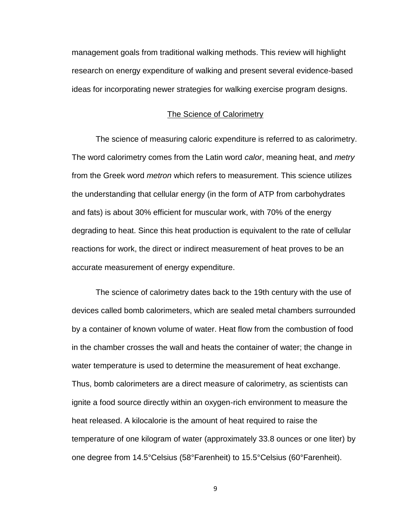management goals from traditional walking methods. This review will highlight research on energy expenditure of walking and present several evidence-based ideas for incorporating newer strategies for walking exercise program designs.

#### The Science of Calorimetry

The science of measuring caloric expenditure is referred to as calorimetry. The word calorimetry comes from the Latin word *calor*, meaning heat, and *metry* from the Greek word *metron* which refers to measurement. This science utilizes the understanding that cellular energy (in the form of ATP from carbohydrates and fats) is about 30% efficient for muscular work, with 70% of the energy degrading to heat. Since this heat production is equivalent to the rate of cellular reactions for work, the direct or indirect measurement of heat proves to be an accurate measurement of energy expenditure.

The science of calorimetry dates back to the 19th century with the use of devices called bomb calorimeters, which are sealed metal chambers surrounded by a container of known volume of water. Heat flow from the combustion of food in the chamber crosses the wall and heats the container of water; the change in water temperature is used to determine the measurement of heat exchange. Thus, bomb calorimeters are a direct measure of calorimetry, as scientists can ignite a food source directly within an oxygen-rich environment to measure the heat released. A kilocalorie is the amount of heat required to raise the temperature of one kilogram of water (approximately 33.8 ounces or one liter) by one degree from 14.5°Celsius (58°Farenheit) to 15.5°Celsius (60°Farenheit).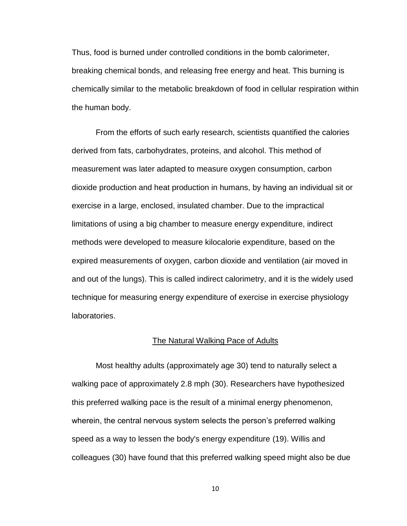Thus, food is burned under controlled conditions in the bomb calorimeter, breaking chemical bonds, and releasing free energy and heat. This burning is chemically similar to the metabolic breakdown of food in cellular respiration within the human body.

From the efforts of such early research, scientists quantified the calories derived from fats, carbohydrates, proteins, and alcohol. This method of measurement was later adapted to measure oxygen consumption, carbon dioxide production and heat production in humans, by having an individual sit or exercise in a large, enclosed, insulated chamber. Due to the impractical limitations of using a big chamber to measure energy expenditure, indirect methods were developed to measure kilocalorie expenditure, based on the expired measurements of oxygen, carbon dioxide and ventilation (air moved in and out of the lungs). This is called indirect calorimetry, and it is the widely used technique for measuring energy expenditure of exercise in exercise physiology laboratories.

#### The Natural Walking Pace of Adults

Most healthy adults (approximately age 30) tend to naturally select a walking pace of approximately 2.8 mph [\(30\)](#page-65-2). Researchers have hypothesized this preferred walking pace is the result of a minimal energy phenomenon, wherein, the central nervous system selects the person's preferred walking speed as a way to lessen the body's energy expenditure [\(19\)](#page-64-1). Willis and colleagues [\(30\)](#page-65-2) have found that this preferred walking speed might also be due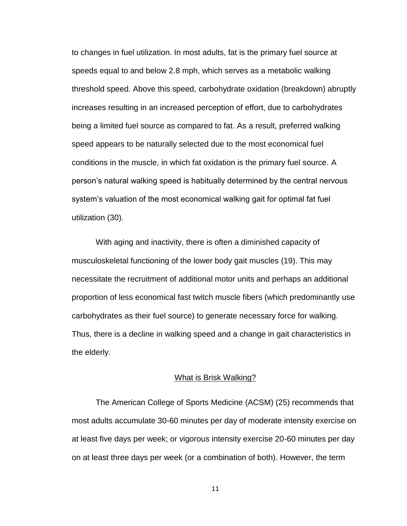to changes in fuel utilization. In most adults, fat is the primary fuel source at speeds equal to and below 2.8 mph, which serves as a metabolic walking threshold speed. Above this speed, carbohydrate oxidation (breakdown) abruptly increases resulting in an increased perception of effort, due to carbohydrates being a limited fuel source as compared to fat. As a result, preferred walking speed appears to be naturally selected due to the most economical fuel conditions in the muscle, in which fat oxidation is the primary fuel source. A person's natural walking speed is habitually determined by the central nervous system's valuation of the most economical walking gait for optimal fat fuel utilization [\(30\)](#page-65-2).

With aging and inactivity, there is often a diminished capacity of musculoskeletal functioning of the lower body gait muscles [\(19\)](#page-64-1). This may necessitate the recruitment of additional motor units and perhaps an additional proportion of less economical fast twitch muscle fibers (which predominantly use carbohydrates as their fuel source) to generate necessary force for walking. Thus, there is a decline in walking speed and a change in gait characteristics in the elderly.

#### What is Brisk Walking?

The American College of Sports Medicine (ACSM) [\(25\)](#page-65-3) recommends that most adults accumulate 30-60 minutes per day of moderate intensity exercise on at least five days per week; or vigorous intensity exercise 20-60 minutes per day on at least three days per week (or a combination of both). However, the term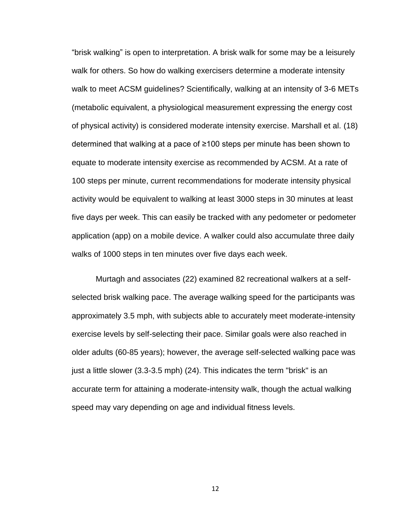"brisk walking" is open to interpretation. A brisk walk for some may be a leisurely walk for others. So how do walking exercisers determine a moderate intensity walk to meet ACSM guidelines? Scientifically, walking at an intensity of 3-6 METs (metabolic equivalent, a physiological measurement expressing the energy cost of physical activity) is considered moderate intensity exercise. Marshall et al. [\(18\)](#page-64-2) determined that walking at a pace of ≥100 steps per minute has been shown to equate to moderate intensity exercise as recommended by ACSM. At a rate of 100 steps per minute, current recommendations for moderate intensity physical activity would be equivalent to walking at least 3000 steps in 30 minutes at least five days per week. This can easily be tracked with any pedometer or pedometer application (app) on a mobile device. A walker could also accumulate three daily walks of 1000 steps in ten minutes over five days each week.

Murtagh and associates [\(22\)](#page-64-3) examined 82 recreational walkers at a selfselected brisk walking pace. The average walking speed for the participants was approximately 3.5 mph, with subjects able to accurately meet moderate-intensity exercise levels by self-selecting their pace. Similar goals were also reached in older adults (60-85 years); however, the average self-selected walking pace was just a little slower (3.3-3.5 mph) [\(24\)](#page-65-4). This indicates the term "brisk" is an accurate term for attaining a moderate-intensity walk, though the actual walking speed may vary depending on age and individual fitness levels.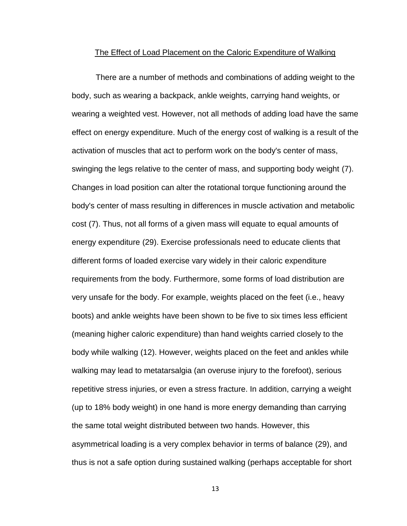#### The Effect of Load Placement on the Caloric Expenditure of Walking

There are a number of methods and combinations of adding weight to the body, such as wearing a backpack, ankle weights, carrying hand weights, or wearing a weighted vest. However, not all methods of adding load have the same effect on energy expenditure. Much of the energy cost of walking is a result of the activation of muscles that act to perform work on the body's center of mass, swinging the legs relative to the center of mass, and supporting body weight [\(7\)](#page-62-2). Changes in load position can alter the rotational torque functioning around the body's center of mass resulting in differences in muscle activation and metabolic cost [\(7\)](#page-62-2). Thus, not all forms of a given mass will equate to equal amounts of energy expenditure [\(29\)](#page-65-5). Exercise professionals need to educate clients that different forms of loaded exercise vary widely in their caloric expenditure requirements from the body. Furthermore, some forms of load distribution are very unsafe for the body. For example, weights placed on the feet (i.e., heavy boots) and ankle weights have been shown to be five to six times less efficient (meaning higher caloric expenditure) than hand weights carried closely to the body while walking [\(12\)](#page-63-3). However, weights placed on the feet and ankles while walking may lead to metatarsalgia (an overuse injury to the forefoot), serious repetitive stress injuries, or even a stress fracture. In addition, carrying a weight (up to 18% body weight) in one hand is more energy demanding than carrying the same total weight distributed between two hands. However, this asymmetrical loading is a very complex behavior in terms of balance [\(29\)](#page-65-5), and thus is not a safe option during sustained walking (perhaps acceptable for short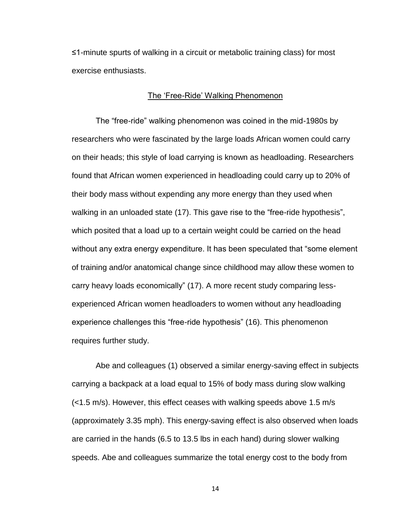≤1-minute spurts of walking in a circuit or metabolic training class) for most exercise enthusiasts.

### The 'Free-Ride' Walking Phenomenon

The "free-ride" walking phenomenon was coined in the mid-1980s by researchers who were fascinated by the large loads African women could carry on their heads; this style of load carrying is known as headloading. Researchers found that African women experienced in headloading could carry up to 20% of their body mass without expending any more energy than they used when walking in an unloaded state [\(17\)](#page-64-4). This gave rise to the "free-ride hypothesis", which posited that a load up to a certain weight could be carried on the head without any extra energy expenditure. It has been speculated that "some element of training and/or anatomical change since childhood may allow these women to carry heavy loads economically" [\(17\)](#page-64-4). A more recent study comparing lessexperienced African women headloaders to women without any headloading experience challenges this "free-ride hypothesis" [\(16\)](#page-64-5). This phenomenon requires further study.

Abe and colleagues [\(1\)](#page-62-3) observed a similar energy-saving effect in subjects carrying a backpack at a load equal to 15% of body mass during slow walking (<1.5 m/s). However, this effect ceases with walking speeds above 1.5 m/s (approximately 3.35 mph). This energy-saving effect is also observed when loads are carried in the hands (6.5 to 13.5 lbs in each hand) during slower walking speeds. Abe and colleagues summarize the total energy cost to the body from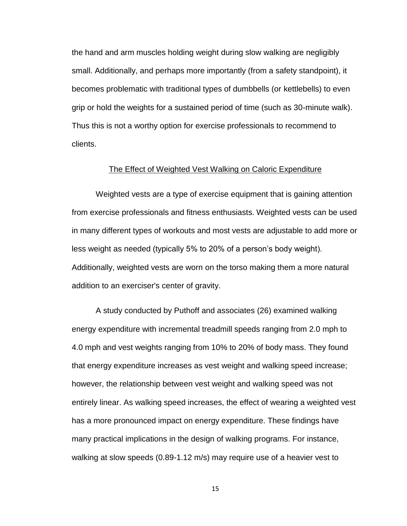the hand and arm muscles holding weight during slow walking are negligibly small. Additionally, and perhaps more importantly (from a safety standpoint), it becomes problematic with traditional types of dumbbells (or kettlebells) to even grip or hold the weights for a sustained period of time (such as 30-minute walk). Thus this is not a worthy option for exercise professionals to recommend to clients.

#### The Effect of Weighted Vest Walking on Caloric Expenditure

Weighted vests are a type of exercise equipment that is gaining attention from exercise professionals and fitness enthusiasts. Weighted vests can be used in many different types of workouts and most vests are adjustable to add more or less weight as needed (typically 5% to 20% of a person's body weight). Additionally, weighted vests are worn on the torso making them a more natural addition to an exerciser's center of gravity.

A study conducted by Puthoff and associates [\(26\)](#page-65-0) examined walking energy expenditure with incremental treadmill speeds ranging from 2.0 mph to 4.0 mph and vest weights ranging from 10% to 20% of body mass. They found that energy expenditure increases as vest weight and walking speed increase; however, the relationship between vest weight and walking speed was not entirely linear. As walking speed increases, the effect of wearing a weighted vest has a more pronounced impact on energy expenditure. These findings have many practical implications in the design of walking programs. For instance, walking at slow speeds (0.89-1.12 m/s) may require use of a heavier vest to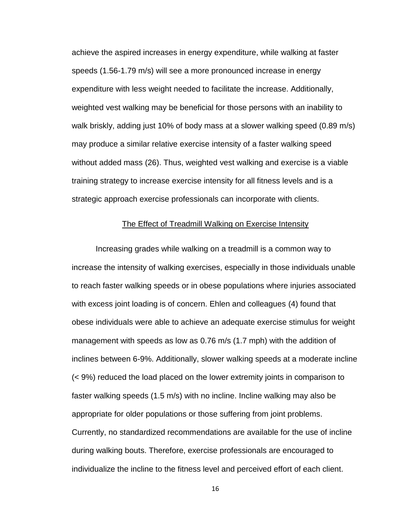achieve the aspired increases in energy expenditure, while walking at faster speeds (1.56-1.79 m/s) will see a more pronounced increase in energy expenditure with less weight needed to facilitate the increase. Additionally, weighted vest walking may be beneficial for those persons with an inability to walk briskly, adding just 10% of body mass at a slower walking speed (0.89 m/s) may produce a similar relative exercise intensity of a faster walking speed without added mass [\(26\)](#page-65-0). Thus, weighted vest walking and exercise is a viable training strategy to increase exercise intensity for all fitness levels and is a strategic approach exercise professionals can incorporate with clients.

#### The Effect of Treadmill Walking on Exercise Intensity

Increasing grades while walking on a treadmill is a common way to increase the intensity of walking exercises, especially in those individuals unable to reach faster walking speeds or in obese populations where injuries associated with excess joint loading is of concern. Ehlen and colleagues [\(4\)](#page-62-1) found that obese individuals were able to achieve an adequate exercise stimulus for weight management with speeds as low as 0.76 m/s (1.7 mph) with the addition of inclines between 6-9%. Additionally, slower walking speeds at a moderate incline (< 9%) reduced the load placed on the lower extremity joints in comparison to faster walking speeds (1.5 m/s) with no incline. Incline walking may also be appropriate for older populations or those suffering from joint problems. Currently, no standardized recommendations are available for the use of incline during walking bouts. Therefore, exercise professionals are encouraged to individualize the incline to the fitness level and perceived effort of each client.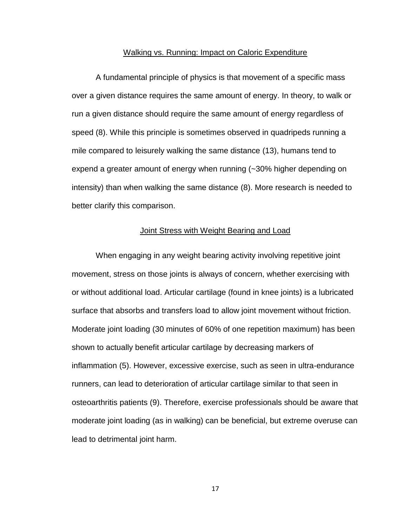#### Walking vs. Running: Impact on Caloric Expenditure

A fundamental principle of physics is that movement of a specific mass over a given distance requires the same amount of energy. In theory, to walk or run a given distance should require the same amount of energy regardless of speed [\(8\)](#page-63-4). While this principle is sometimes observed in quadripeds running a mile compared to leisurely walking the same distance [\(13\)](#page-63-5), humans tend to expend a greater amount of energy when running (~30% higher depending on intensity) than when walking the same distance [\(8\)](#page-63-4). More research is needed to better clarify this comparison.

#### Joint Stress with Weight Bearing and Load

When engaging in any weight bearing activity involving repetitive joint movement, stress on those joints is always of concern, whether exercising with or without additional load. Articular cartilage (found in knee joints) is a lubricated surface that absorbs and transfers load to allow joint movement without friction. Moderate joint loading (30 minutes of 60% of one repetition maximum) has been shown to actually benefit articular cartilage by decreasing markers of inflammation [\(5\)](#page-62-4). However, excessive exercise, such as seen in ultra-endurance runners, can lead to deterioration of articular cartilage similar to that seen in osteoarthritis patients [\(9\)](#page-63-6). Therefore, exercise professionals should be aware that moderate joint loading (as in walking) can be beneficial, but extreme overuse can lead to detrimental joint harm.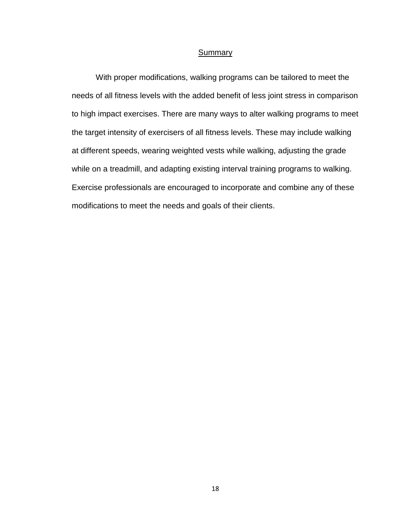#### **Summary**

With proper modifications, walking programs can be tailored to meet the needs of all fitness levels with the added benefit of less joint stress in comparison to high impact exercises. There are many ways to alter walking programs to meet the target intensity of exercisers of all fitness levels. These may include walking at different speeds, wearing weighted vests while walking, adjusting the grade while on a treadmill, and adapting existing interval training programs to walking. Exercise professionals are encouraged to incorporate and combine any of these modifications to meet the needs and goals of their clients.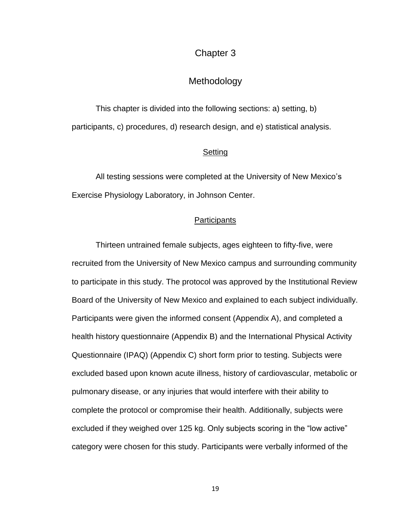## Chapter 3

## Methodology

This chapter is divided into the following sections: a) setting, b) participants, c) procedures, d) research design, and e) statistical analysis.

#### **Setting**

All testing sessions were completed at the University of New Mexico's Exercise Physiology Laboratory, in Johnson Center.

#### **Participants**

Thirteen untrained female subjects, ages eighteen to fifty-five, were recruited from the University of New Mexico campus and surrounding community to participate in this study. The protocol was approved by the Institutional Review Board of the University of New Mexico and explained to each subject individually. Participants were given the informed consent (Appendix A), and completed a health history questionnaire (Appendix B) and the International Physical Activity Questionnaire (IPAQ) (Appendix C) short form prior to testing. Subjects were excluded based upon known acute illness, history of cardiovascular, metabolic or pulmonary disease, or any injuries that would interfere with their ability to complete the protocol or compromise their health. Additionally, subjects were excluded if they weighed over 125 kg. Only subjects scoring in the "low active" category were chosen for this study. Participants were verbally informed of the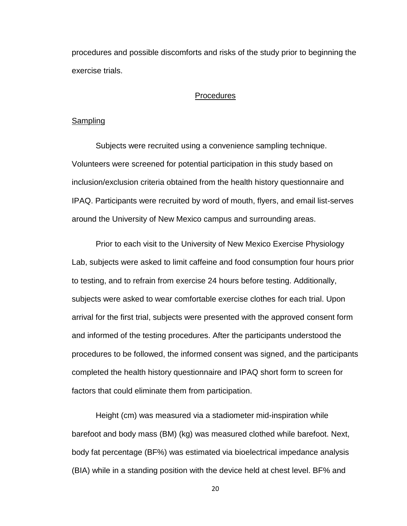procedures and possible discomforts and risks of the study prior to beginning the exercise trials.

#### **Procedures**

#### **Sampling**

Subjects were recruited using a convenience sampling technique. Volunteers were screened for potential participation in this study based on inclusion/exclusion criteria obtained from the health history questionnaire and IPAQ. Participants were recruited by word of mouth, flyers, and email list-serves around the University of New Mexico campus and surrounding areas.

Prior to each visit to the University of New Mexico Exercise Physiology Lab, subjects were asked to limit caffeine and food consumption four hours prior to testing, and to refrain from exercise 24 hours before testing. Additionally, subjects were asked to wear comfortable exercise clothes for each trial. Upon arrival for the first trial, subjects were presented with the approved consent form and informed of the testing procedures. After the participants understood the procedures to be followed, the informed consent was signed, and the participants completed the health history questionnaire and IPAQ short form to screen for factors that could eliminate them from participation.

Height (cm) was measured via a stadiometer mid-inspiration while barefoot and body mass (BM) (kg) was measured clothed while barefoot. Next, body fat percentage (BF%) was estimated via bioelectrical impedance analysis (BIA) while in a standing position with the device held at chest level. BF% and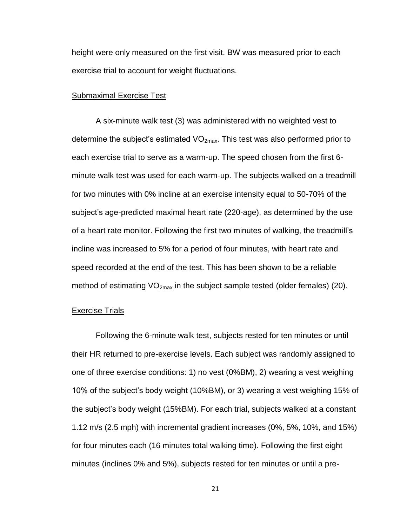height were only measured on the first visit. BW was measured prior to each exercise trial to account for weight fluctuations.

#### Submaximal Exercise Test

A six-minute walk test [\(3\)](#page-62-5) was administered with no weighted vest to determine the subject's estimated  $VO_{2max}$ . This test was also performed prior to each exercise trial to serve as a warm-up. The speed chosen from the first 6 minute walk test was used for each warm-up. The subjects walked on a treadmill for two minutes with 0% incline at an exercise intensity equal to 50-70% of the subject's age-predicted maximal heart rate (220-age), as determined by the use of a heart rate monitor. Following the first two minutes of walking, the treadmill's incline was increased to 5% for a period of four minutes, with heart rate and speed recorded at the end of the test. This has been shown to be a reliable method of estimating  $VO_{2max}$  in the subject sample tested (older females) [\(20\)](#page-64-6).

#### Exercise Trials

Following the 6-minute walk test, subjects rested for ten minutes or until their HR returned to pre-exercise levels. Each subject was randomly assigned to one of three exercise conditions: 1) no vest (0%BM), 2) wearing a vest weighing 10% of the subject's body weight (10%BM), or 3) wearing a vest weighing 15% of the subject's body weight (15%BM). For each trial, subjects walked at a constant 1.12 m/s (2.5 mph) with incremental gradient increases (0%, 5%, 10%, and 15%) for four minutes each (16 minutes total walking time). Following the first eight minutes (inclines 0% and 5%), subjects rested for ten minutes or until a pre-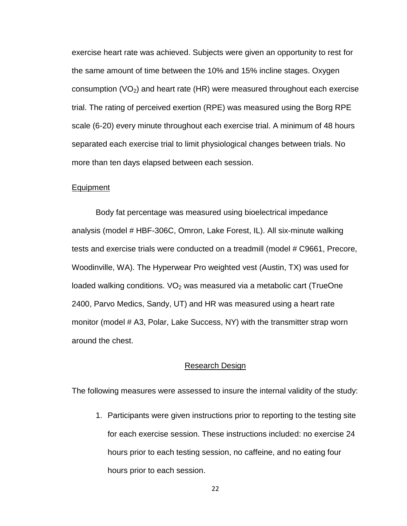exercise heart rate was achieved. Subjects were given an opportunity to rest for the same amount of time between the 10% and 15% incline stages. Oxygen consumption  $(VO_2)$  and heart rate (HR) were measured throughout each exercise trial. The rating of perceived exertion (RPE) was measured using the Borg RPE scale (6-20) every minute throughout each exercise trial. A minimum of 48 hours separated each exercise trial to limit physiological changes between trials. No more than ten days elapsed between each session.

#### Equipment

Body fat percentage was measured using bioelectrical impedance analysis (model # HBF-306C, Omron, Lake Forest, IL). All six-minute walking tests and exercise trials were conducted on a treadmill (model # C9661, Precore, Woodinville, WA). The Hyperwear Pro weighted vest (Austin, TX) was used for loaded walking conditions.  $VO<sub>2</sub>$  was measured via a metabolic cart (TrueOne 2400, Parvo Medics, Sandy, UT) and HR was measured using a heart rate monitor (model # A3, Polar, Lake Success, NY) with the transmitter strap worn around the chest.

#### Research Design

The following measures were assessed to insure the internal validity of the study:

1. Participants were given instructions prior to reporting to the testing site for each exercise session. These instructions included: no exercise 24 hours prior to each testing session, no caffeine, and no eating four hours prior to each session.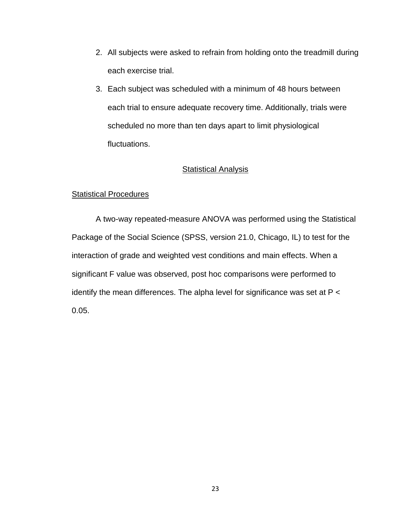- 2. All subjects were asked to refrain from holding onto the treadmill during each exercise trial.
- 3. Each subject was scheduled with a minimum of 48 hours between each trial to ensure adequate recovery time. Additionally, trials were scheduled no more than ten days apart to limit physiological fluctuations.

## **Statistical Analysis**

## Statistical Procedures

A two-way repeated-measure ANOVA was performed using the Statistical Package of the Social Science (SPSS, version 21.0, Chicago, IL) to test for the interaction of grade and weighted vest conditions and main effects. When a significant F value was observed, post hoc comparisons were performed to identify the mean differences. The alpha level for significance was set at P < 0.05.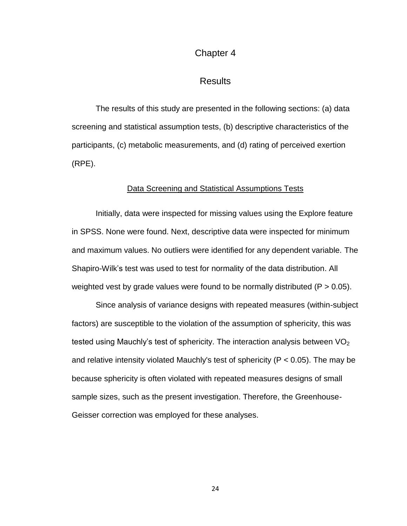## Chapter 4

## Results

The results of this study are presented in the following sections: (a) data screening and statistical assumption tests, (b) descriptive characteristics of the participants, (c) metabolic measurements, and (d) rating of perceived exertion (RPE).

#### Data Screening and Statistical Assumptions Tests

Initially, data were inspected for missing values using the Explore feature in SPSS. None were found. Next, descriptive data were inspected for minimum and maximum values. No outliers were identified for any dependent variable. The Shapiro-Wilk's test was used to test for normality of the data distribution. All weighted vest by grade values were found to be normally distributed ( $P > 0.05$ ).

Since analysis of variance designs with repeated measures (within-subject factors) are susceptible to the violation of the assumption of sphericity, this was tested using Mauchly's test of sphericity. The interaction analysis between  $VO<sub>2</sub>$ and relative intensity violated Mauchly's test of sphericity ( $P < 0.05$ ). The may be because sphericity is often violated with repeated measures designs of small sample sizes, such as the present investigation. Therefore, the Greenhouse-Geisser correction was employed for these analyses.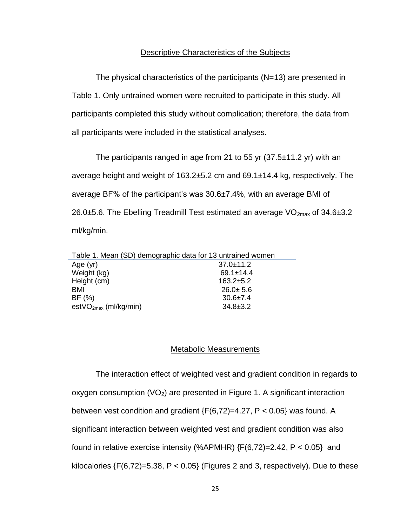#### Descriptive Characteristics of the Subjects

The physical characteristics of the participants (N=13) are presented in Table 1. Only untrained women were recruited to participate in this study. All participants completed this study without complication; therefore, the data from all participants were included in the statistical analyses.

The participants ranged in age from 21 to 55 yr  $(37.5\pm 11.2 \text{ yr})$  with an average height and weight of 163.2±5.2 cm and 69.1±14.4 kg, respectively. The average BF% of the participant's was 30.6±7.4%, with an average BMI of 26.0 $\pm$ 5.6. The Ebelling Treadmill Test estimated an average VO<sub>2max</sub> of 34.6 $\pm$ 3.2 ml/kg/min.

| Table 1. Mean (SD) demographic data for 13 untrained women |                 |  |  |  |
|------------------------------------------------------------|-----------------|--|--|--|
| Age $(yr)$                                                 | $37.0 \pm 11.2$ |  |  |  |
| Weight (kg)                                                | $69.1 \pm 14.4$ |  |  |  |
| Height (cm)                                                | $163.2 + 5.2$   |  |  |  |
| BMI                                                        | $26.0 + 5.6$    |  |  |  |
| BF(%)                                                      | $30.6 \pm 7.4$  |  |  |  |
| est $VO_{2max}$ (ml/kg/min)                                | $34.8 \pm 3.2$  |  |  |  |

#### Metabolic Measurements

The interaction effect of weighted vest and gradient condition in regards to oxygen consumption  $(VO_2)$  are presented in Figure 1. A significant interaction between vest condition and gradient  ${F(6,72)=4.27, P < 0.05}$  was found. A significant interaction between weighted vest and gradient condition was also found in relative exercise intensity (%APMHR)  $\{F(6,72)=2.42, P < 0.05\}$  and kilocalories  $\{F(6,72)=5.38, P < 0.05\}$  (Figures 2 and 3, respectively). Due to these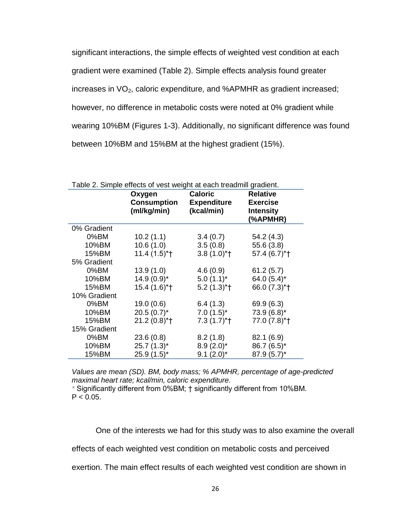significant interactions, the simple effects of weighted vest condition at each gradient were examined (Table 2). Simple effects analysis found greater increases in  $VO<sub>2</sub>$ , caloric expenditure, and %APMHR as gradient increased; however, no difference in metabolic costs were noted at 0% gradient while wearing 10%BM (Figures 1-3). Additionally, no significant difference was found between 10%BM and 15%BM at the highest gradient (15%).

| Table 2. Simple effects of vest weight at each treadmill gradient. |                                             |                                                    |                                                                    |  |  |
|--------------------------------------------------------------------|---------------------------------------------|----------------------------------------------------|--------------------------------------------------------------------|--|--|
|                                                                    | Oxygen<br><b>Consumption</b><br>(ml/kg/min) | <b>Caloric</b><br><b>Expenditure</b><br>(kcal/min) | <b>Relative</b><br><b>Exercise</b><br><b>Intensity</b><br>(%APMHR) |  |  |
| 0% Gradient                                                        |                                             |                                                    |                                                                    |  |  |
| 0%BM                                                               | 10.2(1.1)                                   | 3.4(0.7)                                           | 54.2 (4.3)                                                         |  |  |
| 10%BM                                                              | 10.6(1.0)                                   | 3.5(0.8)                                           | 55.6 (3.8)                                                         |  |  |
| 15%BM                                                              | $11.4(1.5)*+$                               | $3.8(1.0)*$                                        | 57.4 (6.7)*+                                                       |  |  |
| 5% Gradient                                                        |                                             |                                                    |                                                                    |  |  |
| 0%BM                                                               | 13.9(1.0)                                   | 4.6(0.9)                                           | 61.2(5.7)                                                          |  |  |
| 10%BM                                                              | $14.9(0.9)^{*}$                             | $5.0(1.1)^{*}$                                     | 64.0 $(5.4)^*$                                                     |  |  |
| 15%BM                                                              | $15.4(1.6)*$                                | $5.2(1.3)*†$                                       | 66.0 (7.3)*+                                                       |  |  |
| 10% Gradient                                                       |                                             |                                                    |                                                                    |  |  |
| 0%BM                                                               | 19.0(0.6)                                   | 6.4(1.3)                                           | 69.9 (6.3)                                                         |  |  |
| 10%BM                                                              | $20.5(0.7)^{*}$                             | $7.0(1.5)^*$                                       | $73.9(6.8)^*$                                                      |  |  |
| 15%BM                                                              | $21.2(0.8)*$ <sup>+</sup>                   | $7.3(1.7)$ <sup>*</sup> t                          | 77.0 (7.8)*†                                                       |  |  |
| 15% Gradient                                                       |                                             |                                                    |                                                                    |  |  |
| 0%BM                                                               | 23.6(0.8)                                   | 8.2(1.8)                                           | 82.1 (6.9)                                                         |  |  |
| 10%BM                                                              | $25.7(1.3)^{*}$                             | $8.9(2.0)^*$                                       | 86.7 (6.5)*                                                        |  |  |
| 15%BM                                                              | $25.9(1.5)^*$                               | $9.1 (2.0)^*$                                      | $87.9(5.7)^*$                                                      |  |  |

*Values are mean (SD). BM, body mass; % APMHR, percentage of age-predicted maximal heart rate; kcal/min, caloric expenditure.*

*\** Significantly different from 0%BM; † significantly different from 10%BM.  $P < 0.05$ .

One of the interests we had for this study was to also examine the overall

effects of each weighted vest condition on metabolic costs and perceived

exertion. The main effect results of each weighted vest condition are shown in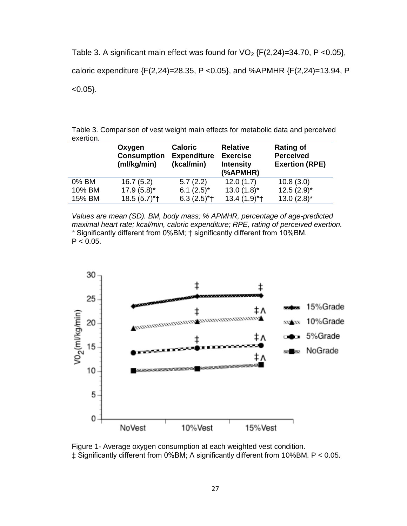Table 3. A significant main effect was found for  $VO<sub>2</sub> {F(2,24)=34.70, P < 0.05}$ ,

caloric expenditure {F(2,24)=28.35, P <0.05}, and %APMHR {F(2,24)=13.94, P

 $< 0.05$ .

| Table 3. Comparison of vest weight main effects for metabolic data and perceived |  |
|----------------------------------------------------------------------------------|--|
| exertion.                                                                        |  |

|        | Oxygen<br><b>Consumption</b><br>(ml/kg/min) | <b>Caloric</b><br><b>Expenditure</b><br>(kcal/min) | <b>Relative</b><br><b>Exercise</b><br><b>Intensity</b><br>(%APMHR) | <b>Rating of</b><br><b>Perceived</b><br><b>Exertion (RPE)</b> |
|--------|---------------------------------------------|----------------------------------------------------|--------------------------------------------------------------------|---------------------------------------------------------------|
| 0% BM  | 16.7(5.2)                                   | 5.7(2.2)                                           | 12.0(1.7)                                                          | 10.8(3.0)                                                     |
| 10% BM | $17.9(5.8)$ *                               | 6.1 $(2.5)^*$                                      | $13.0(1.8)$ *                                                      | $12.5(2.9)^{*}$                                               |
| 15% BM | $18.5(5.7)$ *†                              | $6.3(2.5)$ *†                                      | $13.4(1.9)*+$                                                      | $13.0(2.8)$ *                                                 |

*Values are mean (SD). BM, body mass; % APMHR, percentage of age-predicted maximal heart rate; kcal/min, caloric expenditure; RPE, rating of perceived exertion. \** Significantly different from 0%BM; † significantly different from 10%BM.  $P < 0.05$ .



Figure 1- Average oxygen consumption at each weighted vest condition. ‡ Significantly different from 0%BM;  $\land$  significantly different from 10%BM. P < 0.05.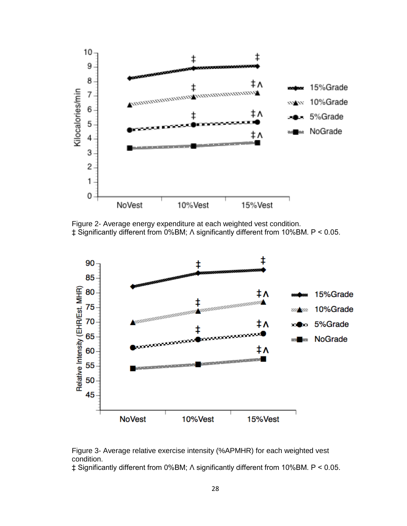

Figure 2- Average energy expenditure at each weighted vest condition. ‡ Significantly different from 0%BM; Ʌ significantly different from 10%BM. P < 0.05.



Figure 3- Average relative exercise intensity (%APMHR) for each weighted vest condition.

‡ Significantly different from 0%BM;  $\land$  significantly different from 10%BM. P < 0.05.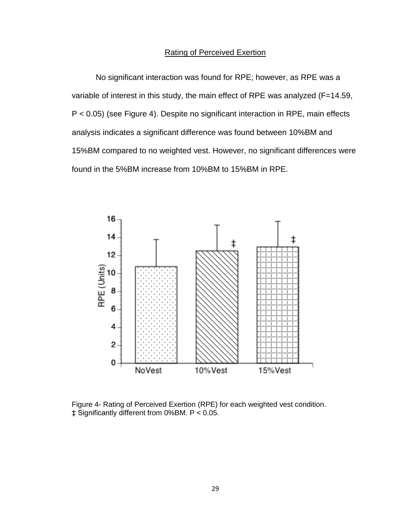#### Rating of Perceived Exertion

No significant interaction was found for RPE; however, as RPE was a variable of interest in this study, the main effect of RPE was analyzed (F=14.59, P < 0.05) (see Figure 4). Despite no significant interaction in RPE, main effects analysis indicates a significant difference was found between 10%BM and 15%BM compared to no weighted vest. However, no significant differences were found in the 5%BM increase from 10%BM to 15%BM in RPE.



Figure 4- Rating of Perceived Exertion (RPE) for each weighted vest condition. ‡ Significantly different from 0%BM. P < 0.05.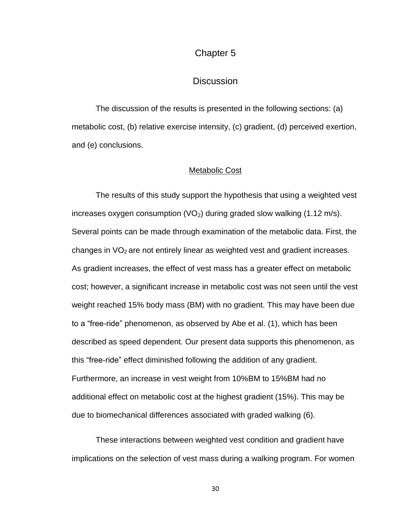## Chapter 5

## **Discussion**

The discussion of the results is presented in the following sections: (a) metabolic cost, (b) relative exercise intensity, (c) gradient, (d) perceived exertion, and (e) conclusions.

#### Metabolic Cost

The results of this study support the hypothesis that using a weighted vest increases oxygen consumption  $(VO<sub>2</sub>)$  during graded slow walking (1.12 m/s). Several points can be made through examination of the metabolic data. First, the changes in  $VO<sub>2</sub>$  are not entirely linear as weighted vest and gradient increases. As gradient increases, the effect of vest mass has a greater effect on metabolic cost; however, a significant increase in metabolic cost was not seen until the vest weight reached 15% body mass (BM) with no gradient. This may have been due to a "free-ride" phenomenon, as observed by Abe et al. [\(1\)](#page-62-3), which has been described as speed dependent. Our present data supports this phenomenon, as this "free-ride" effect diminished following the addition of any gradient. Furthermore, an increase in vest weight from 10%BM to 15%BM had no additional effect on metabolic cost at the highest gradient (15%). This may be due to biomechanical differences associated with graded walking [\(6\)](#page-62-6).

These interactions between weighted vest condition and gradient have implications on the selection of vest mass during a walking program. For women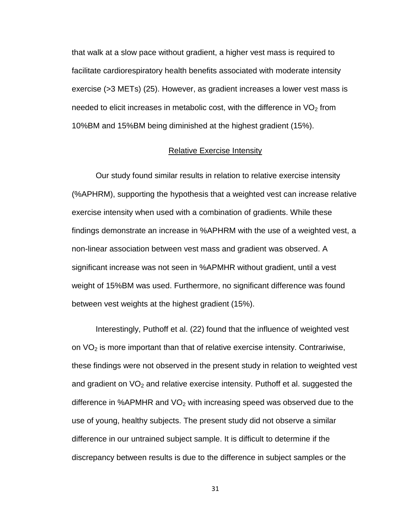that walk at a slow pace without gradient, a higher vest mass is required to facilitate cardiorespiratory health benefits associated with moderate intensity exercise (>3 METs) [\(25\)](#page-65-3). However, as gradient increases a lower vest mass is needed to elicit increases in metabolic cost, with the difference in  $VO<sub>2</sub>$  from 10%BM and 15%BM being diminished at the highest gradient (15%).

#### Relative Exercise Intensity

Our study found similar results in relation to relative exercise intensity (%APHRM), supporting the hypothesis that a weighted vest can increase relative exercise intensity when used with a combination of gradients. While these findings demonstrate an increase in %APHRM with the use of a weighted vest, a non-linear association between vest mass and gradient was observed. A significant increase was not seen in %APMHR without gradient, until a vest weight of 15%BM was used. Furthermore, no significant difference was found between vest weights at the highest gradient (15%).

Interestingly, Puthoff et al. (22) found that the influence of weighted vest on  $VO<sub>2</sub>$  is more important than that of relative exercise intensity. Contrariwise, these findings were not observed in the present study in relation to weighted vest and gradient on  $VO<sub>2</sub>$  and relative exercise intensity. Puthoff et al. suggested the difference in %APMHR and  $VO<sub>2</sub>$  with increasing speed was observed due to the use of young, healthy subjects. The present study did not observe a similar difference in our untrained subject sample. It is difficult to determine if the discrepancy between results is due to the difference in subject samples or the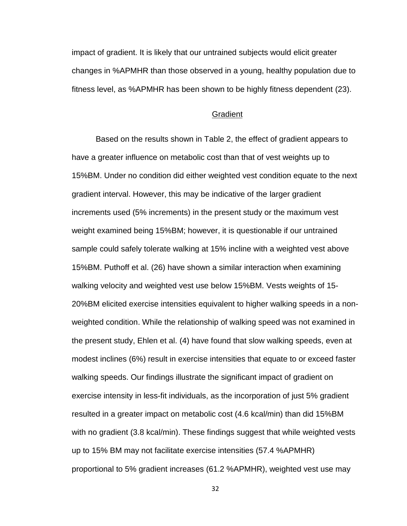impact of gradient. It is likely that our untrained subjects would elicit greater changes in %APMHR than those observed in a young, healthy population due to fitness level, as %APMHR has been shown to be highly fitness dependent [\(23\)](#page-64-7).

#### **Gradient**

Based on the results shown in Table 2, the effect of gradient appears to have a greater influence on metabolic cost than that of vest weights up to 15%BM. Under no condition did either weighted vest condition equate to the next gradient interval. However, this may be indicative of the larger gradient increments used (5% increments) in the present study or the maximum vest weight examined being 15%BM; however, it is questionable if our untrained sample could safely tolerate walking at 15% incline with a weighted vest above 15%BM. Puthoff et al. [\(26\)](#page-65-0) have shown a similar interaction when examining walking velocity and weighted vest use below 15%BM. Vests weights of 15- 20%BM elicited exercise intensities equivalent to higher walking speeds in a nonweighted condition. While the relationship of walking speed was not examined in the present study, Ehlen et al. [\(4\)](#page-62-1) have found that slow walking speeds, even at modest inclines (6%) result in exercise intensities that equate to or exceed faster walking speeds. Our findings illustrate the significant impact of gradient on exercise intensity in less-fit individuals, as the incorporation of just 5% gradient resulted in a greater impact on metabolic cost (4.6 kcal/min) than did 15%BM with no gradient (3.8 kcal/min). These findings suggest that while weighted vests up to 15% BM may not facilitate exercise intensities (57.4 %APMHR) proportional to 5% gradient increases (61.2 %APMHR), weighted vest use may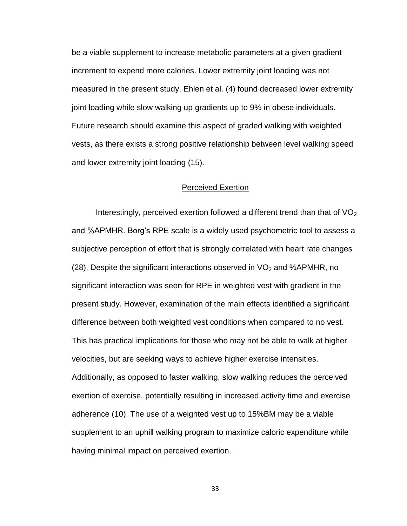be a viable supplement to increase metabolic parameters at a given gradient increment to expend more calories. Lower extremity joint loading was not measured in the present study. Ehlen et al. [\(4\)](#page-62-1) found decreased lower extremity joint loading while slow walking up gradients up to 9% in obese individuals. Future research should examine this aspect of graded walking with weighted vests, as there exists a strong positive relationship between level walking speed and lower extremity joint loading [\(15\)](#page-63-7).

#### Perceived Exertion

Interestingly, perceived exertion followed a different trend than that of  $VO<sub>2</sub>$ and %APMHR. Borg's RPE scale is a widely used psychometric tool to assess a subjective perception of effort that is strongly correlated with heart rate changes [\(28\)](#page-65-6). Despite the significant interactions observed in  $VO<sub>2</sub>$  and %APMHR, no significant interaction was seen for RPE in weighted vest with gradient in the present study. However, examination of the main effects identified a significant difference between both weighted vest conditions when compared to no vest. This has practical implications for those who may not be able to walk at higher velocities, but are seeking ways to achieve higher exercise intensities. Additionally, as opposed to faster walking, slow walking reduces the perceived exertion of exercise, potentially resulting in increased activity time and exercise adherence [\(10\)](#page-63-0). The use of a weighted vest up to 15%BM may be a viable supplement to an uphill walking program to maximize caloric expenditure while having minimal impact on perceived exertion.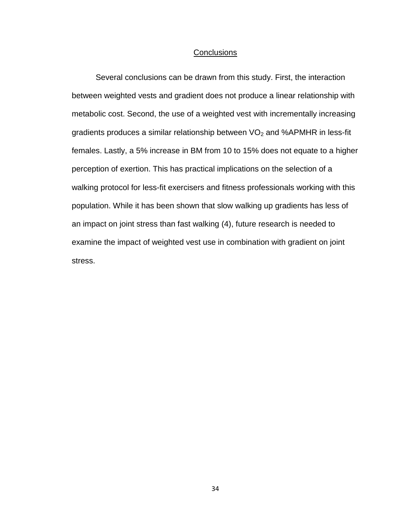#### **Conclusions**

Several conclusions can be drawn from this study. First, the interaction between weighted vests and gradient does not produce a linear relationship with metabolic cost. Second, the use of a weighted vest with incrementally increasing gradients produces a similar relationship between  $VO<sub>2</sub>$  and %APMHR in less-fit females. Lastly, a 5% increase in BM from 10 to 15% does not equate to a higher perception of exertion. This has practical implications on the selection of a walking protocol for less-fit exercisers and fitness professionals working with this population. While it has been shown that slow walking up gradients has less of an impact on joint stress than fast walking [\(4\)](#page-62-1), future research is needed to examine the impact of weighted vest use in combination with gradient on joint stress.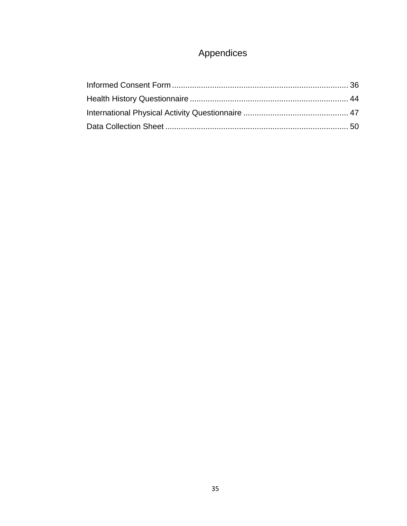# Appendices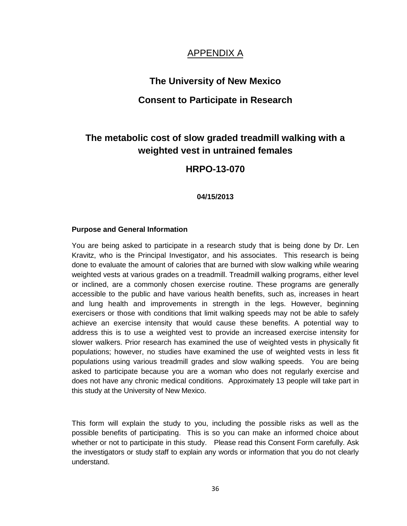## APPENDIX A

## **The University of New Mexico**

## **Consent to Participate in Research**

# **The metabolic cost of slow graded treadmill walking with a weighted vest in untrained females**

## **HRPO-13-070**

#### **04/15/2013**

#### **Purpose and General Information**

You are being asked to participate in a research study that is being done by Dr. Len Kravitz, who is the Principal Investigator, and his associates. This research is being done to evaluate the amount of calories that are burned with slow walking while wearing weighted vests at various grades on a treadmill. Treadmill walking programs, either level or inclined, are a commonly chosen exercise routine. These programs are generally accessible to the public and have various health benefits, such as, increases in heart and lung health and improvements in strength in the legs. However, beginning exercisers or those with conditions that limit walking speeds may not be able to safely achieve an exercise intensity that would cause these benefits. A potential way to address this is to use a weighted vest to provide an increased exercise intensity for slower walkers. Prior research has examined the use of weighted vests in physically fit populations; however, no studies have examined the use of weighted vests in less fit populations using various treadmill grades and slow walking speeds. You are being asked to participate because you are a woman who does not regularly exercise and does not have any chronic medical conditions. Approximately 13 people will take part in this study at the University of New Mexico.

This form will explain the study to you, including the possible risks as well as the possible benefits of participating. This is so you can make an informed choice about whether or not to participate in this study. Please read this Consent Form carefully. Ask the investigators or study staff to explain any words or information that you do not clearly understand.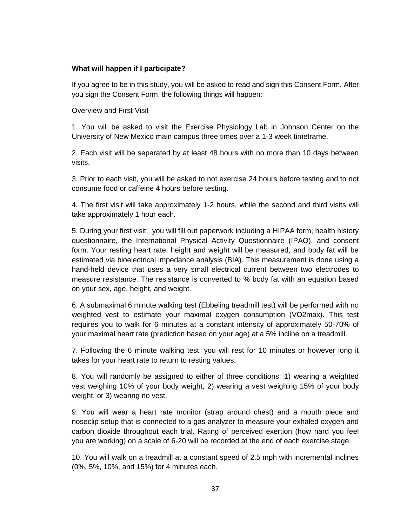#### **What will happen if I participate?**

If you agree to be in this study, you will be asked to read and sign this Consent Form. After you sign the Consent Form, the following things will happen:

Overview and First Visit

1. You will be asked to visit the Exercise Physiology Lab in Johnson Center on the University of New Mexico main campus three times over a 1-3 week timeframe.

2. Each visit will be separated by at least 48 hours with no more than 10 days between visits.

3. Prior to each visit, you will be asked to not exercise 24 hours before testing and to not consume food or caffeine 4 hours before testing.

4. The first visit will take approximately 1-2 hours, while the second and third visits will take approximately 1 hour each.

5. During your first visit, you will fill out paperwork including a HIPAA form, health history questionnaire, the International Physical Activity Questionnaire (IPAQ), and consent form. Your resting heart rate, height and weight will be measured, and body fat will be estimated via bioelectrical impedance analysis (BIA). This measurement is done using a hand-held device that uses a very small electrical current between two electrodes to measure resistance. The resistance is converted to % body fat with an equation based on your sex, age, height, and weight.

6. A submaximal 6 minute walking test (Ebbeling treadmill test) will be performed with no weighted vest to estimate your maximal oxygen consumption (VO2max). This test requires you to walk for 6 minutes at a constant intensity of approximately 50-70% of your maximal heart rate (prediction based on your age) at a 5% incline on a treadmill.

7. Following the 6 minute walking test, you will rest for 10 minutes or however long it takes for your heart rate to return to resting values.

8. You will randomly be assigned to either of three conditions: 1) wearing a weighted vest weighing 10% of your body weight, 2) wearing a vest weighing 15% of your body weight, or 3) wearing no vest.

9. You will wear a heart rate monitor (strap around chest) and a mouth piece and noseclip setup that is connected to a gas analyzer to measure your exhaled oxygen and carbon dioxide throughout each trial. Rating of perceived exertion (how hard you feel you are working) on a scale of 6-20 will be recorded at the end of each exercise stage.

10. You will walk on a treadmill at a constant speed of 2.5 mph with incremental inclines (0%, 5%, 10%, and 15%) for 4 minutes each.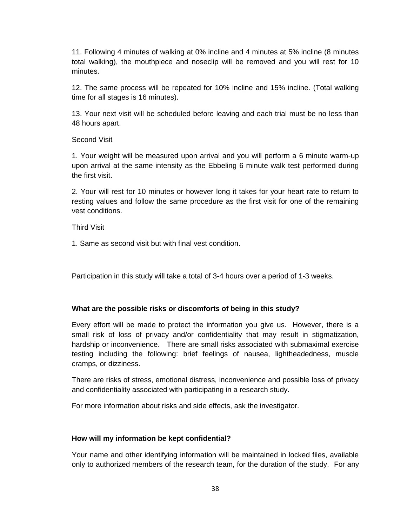11. Following 4 minutes of walking at 0% incline and 4 minutes at 5% incline (8 minutes total walking), the mouthpiece and noseclip will be removed and you will rest for 10 minutes.

12. The same process will be repeated for 10% incline and 15% incline. (Total walking time for all stages is 16 minutes).

13. Your next visit will be scheduled before leaving and each trial must be no less than 48 hours apart.

### Second Visit

1. Your weight will be measured upon arrival and you will perform a 6 minute warm-up upon arrival at the same intensity as the Ebbeling 6 minute walk test performed during the first visit.

2. Your will rest for 10 minutes or however long it takes for your heart rate to return to resting values and follow the same procedure as the first visit for one of the remaining vest conditions.

Third Visit

1. Same as second visit but with final vest condition.

Participation in this study will take a total of 3-4 hours over a period of 1-3 weeks.

## **What are the possible risks or discomforts of being in this study?**

Every effort will be made to protect the information you give us. However, there is a small risk of loss of privacy and/or confidentiality that may result in stigmatization, hardship or inconvenience. There are small risks associated with submaximal exercise testing including the following: brief feelings of nausea, lightheadedness, muscle cramps, or dizziness.

There are risks of stress, emotional distress, inconvenience and possible loss of privacy and confidentiality associated with participating in a research study.

For more information about risks and side effects, ask the investigator.

## **How will my information be kept confidential?**

Your name and other identifying information will be maintained in locked files, available only to authorized members of the research team, for the duration of the study. For any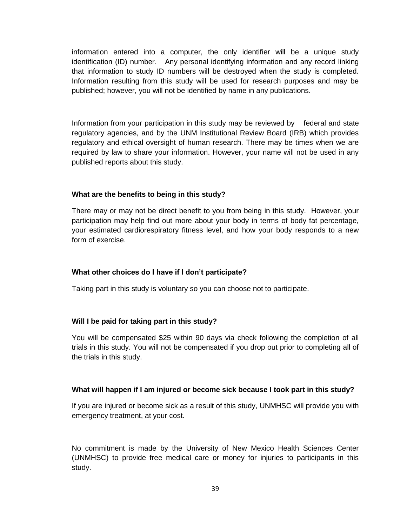information entered into a computer, the only identifier will be a unique study identification (ID) number. Any personal identifying information and any record linking that information to study ID numbers will be destroyed when the study is completed. Information resulting from this study will be used for research purposes and may be published; however, you will not be identified by name in any publications.

Information from your participation in this study may be reviewed by federal and state regulatory agencies, and by the UNM Institutional Review Board (IRB) which provides regulatory and ethical oversight of human research. There may be times when we are required by law to share your information. However, your name will not be used in any published reports about this study.

### **What are the benefits to being in this study?**

There may or may not be direct benefit to you from being in this study. However, your participation may help find out more about your body in terms of body fat percentage, your estimated cardiorespiratory fitness level, and how your body responds to a new form of exercise.

### **What other choices do I have if I don't participate?**

Taking part in this study is voluntary so you can choose not to participate.

### **Will I be paid for taking part in this study?**

You will be compensated \$25 within 90 days via check following the completion of all trials in this study. You will not be compensated if you drop out prior to completing all of the trials in this study.

### **What will happen if I am injured or become sick because I took part in this study?**

If you are injured or become sick as a result of this study, UNMHSC will provide you with emergency treatment, at your cost.

No commitment is made by the University of New Mexico Health Sciences Center (UNMHSC) to provide free medical care or money for injuries to participants in this study.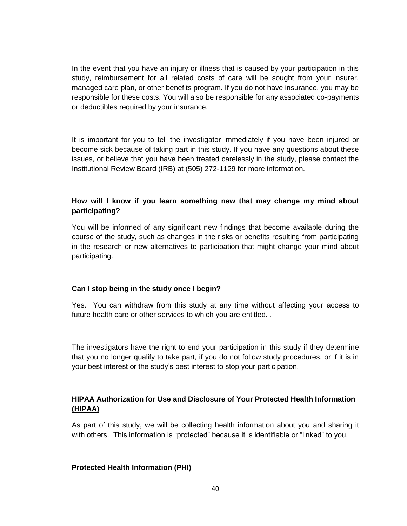In the event that you have an injury or illness that is caused by your participation in this study, reimbursement for all related costs of care will be sought from your insurer, managed care plan, or other benefits program. If you do not have insurance, you may be responsible for these costs. You will also be responsible for any associated co-payments or deductibles required by your insurance.

It is important for you to tell the investigator immediately if you have been injured or become sick because of taking part in this study. If you have any questions about these issues, or believe that you have been treated carelessly in the study, please contact the Institutional Review Board (IRB) at (505) 272-1129 for more information.

## **How will I know if you learn something new that may change my mind about participating?**

You will be informed of any significant new findings that become available during the course of the study, such as changes in the risks or benefits resulting from participating in the research or new alternatives to participation that might change your mind about participating.

### **Can I stop being in the study once I begin?**

Yes. You can withdraw from this study at any time without affecting your access to future health care or other services to which you are entitled. .

The investigators have the right to end your participation in this study if they determine that you no longer qualify to take part, if you do not follow study procedures, or if it is in your best interest or the study's best interest to stop your participation.

## **HIPAA Authorization for Use and Disclosure of Your Protected Health Information (HIPAA)**

As part of this study, we will be collecting health information about you and sharing it with others. This information is "protected" because it is identifiable or "linked" to you.

### **Protected Health Information (PHI)**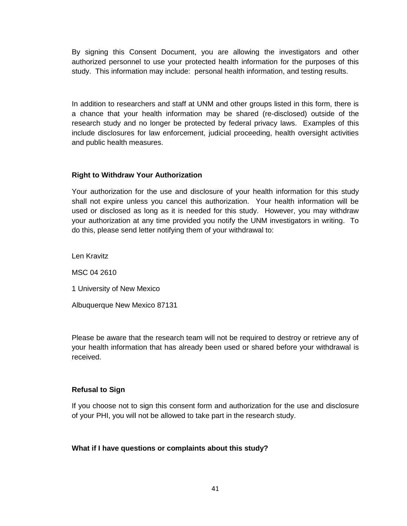By signing this Consent Document, you are allowing the investigators and other authorized personnel to use your protected health information for the purposes of this study. This information may include: personal health information, and testing results.

In addition to researchers and staff at UNM and other groups listed in this form, there is a chance that your health information may be shared (re-disclosed) outside of the research study and no longer be protected by federal privacy laws. Examples of this include disclosures for law enforcement, judicial proceeding, health oversight activities and public health measures.

#### **Right to Withdraw Your Authorization**

Your authorization for the use and disclosure of your health information for this study shall not expire unless you cancel this authorization. Your health information will be used or disclosed as long as it is needed for this study. However, you may withdraw your authorization at any time provided you notify the UNM investigators in writing. To do this, please send letter notifying them of your withdrawal to:

Len Kravitz MSC 04 2610

1 University of New Mexico

Albuquerque New Mexico 87131

Please be aware that the research team will not be required to destroy or retrieve any of your health information that has already been used or shared before your withdrawal is received.

### **Refusal to Sign**

If you choose not to sign this consent form and authorization for the use and disclosure of your PHI, you will not be allowed to take part in the research study.

#### **What if I have questions or complaints about this study?**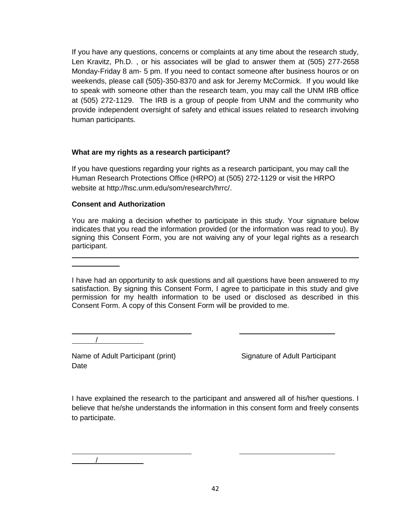If you have any questions, concerns or complaints at any time about the research study, Len Kravitz, Ph.D. , or his associates will be glad to answer them at (505) 277-2658 Monday-Friday 8 am- 5 pm. If you need to contact someone after business houros or on weekends, please call (505)-350-8370 and ask for Jeremy McCormick. If you would like to speak with someone other than the research team, you may call the UNM IRB office at (505) 272-1129. The IRB is a group of people from UNM and the community who provide independent oversight of safety and ethical issues related to research involving human participants.

### **What are my rights as a research participant?**

If you have questions regarding your rights as a research participant, you may call the Human Research Protections Office (HRPO) at (505) 272-1129 or visit the HRPO website at http://hsc.unm.edu/som/research/hrrc/.

## **Consent and Authorization**

You are making a decision whether to participate in this study. Your signature below indicates that you read the information provided (or the information was read to you). By signing this Consent Form, you are not waiving any of your legal rights as a research participant.

I have had an opportunity to ask questions and all questions have been answered to my satisfaction. By signing this Consent Form, I agree to participate in this study and give permission for my health information to be used or disclosed as described in this Consent Form. A copy of this Consent Form will be provided to me.

/

/

Name of Adult Participant (print) Signature of Adult Participant **Date** 

I have explained the research to the participant and answered all of his/her questions. I believe that he/she understands the information in this consent form and freely consents to participate.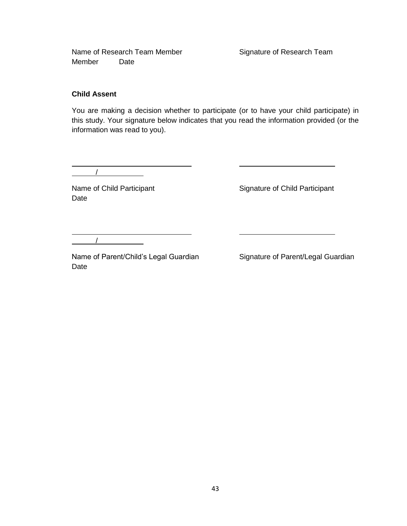Name of Research Team Member Signature of Research Team Member Date

#### **Child Assent**

You are making a decision whether to participate (or to have your child participate) in this study. Your signature below indicates that you read the information provided (or the information was read to you).

/

Date

Name of Child Participant **Signature of Child Participant** 

/

Name of Parent/Child's Legal Guardian Signature of Parent/Legal Guardian Date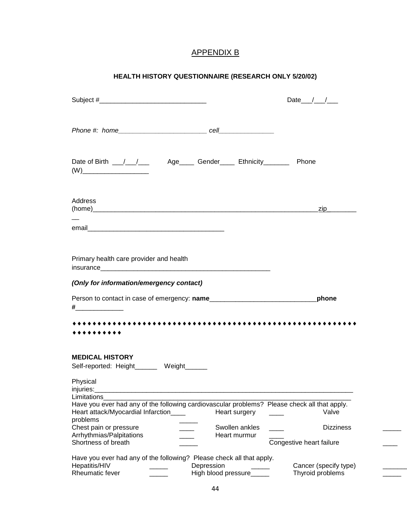# APPENDIX B

## **HEALTH HISTORY QUESTIONNAIRE (RESEARCH ONLY 5/20/02)**

| Date $\frac{1}{\sqrt{2}}$                                                                             |
|-------------------------------------------------------------------------------------------------------|
|                                                                                                       |
|                                                                                                       |
| Date of Birth __/__/___ Age____ Gender____ Ethnicity________ Phone                                    |
|                                                                                                       |
| <u>_zip_________</u>                                                                                  |
|                                                                                                       |
|                                                                                                       |
|                                                                                                       |
|                                                                                                       |
|                                                                                                       |
| _phone                                                                                                |
|                                                                                                       |
|                                                                                                       |
|                                                                                                       |
|                                                                                                       |
|                                                                                                       |
| Have you ever had any of the following cardiovascular problems? Please check all that apply.<br>Valve |
| <b>Dizziness</b>                                                                                      |
| Congestive heart failure                                                                              |
| Cancer (specify type)                                                                                 |
|                                                                                                       |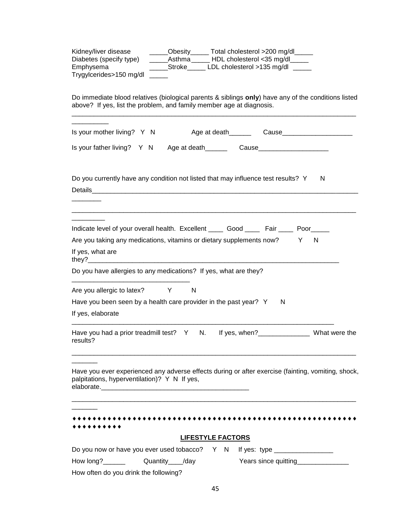| ______Obesity______ Total cholesterol >200 mg/dl______<br>Kidney/liver disease<br>______Asthma ______ HDL cholesterol <35 mg/dl_____<br>Diabetes (specify type)<br>Emphysema<br>Stroke LDL cholesterol >135 mg/dl<br>Trygylcerides>150 mg/dl |
|----------------------------------------------------------------------------------------------------------------------------------------------------------------------------------------------------------------------------------------------|
| Do immediate blood relatives (biological parents & siblings only) have any of the conditions listed<br>above? If yes, list the problem, and family member age at diagnosis.                                                                  |
| Is your mother living? Y N<br>Age at death Cause                                                                                                                                                                                             |
| Is your father living? Y N Age at death__________ Cause_________________________                                                                                                                                                             |
| Do you currently have any condition not listed that may influence test results? Y<br>N                                                                                                                                                       |
|                                                                                                                                                                                                                                              |
| Indicate level of your overall health. Excellent _______ Good _______ Fair _____ Poor______                                                                                                                                                  |
| Are you taking any medications, vitamins or dietary supplements now? Y N                                                                                                                                                                     |
| If yes, what are                                                                                                                                                                                                                             |
| Do you have allergies to any medications? If yes, what are they?                                                                                                                                                                             |
| Are you allergic to latex? Y<br>N                                                                                                                                                                                                            |
| Have you been seen by a health care provider in the past year? Y<br>N                                                                                                                                                                        |
| If yes, elaborate                                                                                                                                                                                                                            |
| Have you had a prior treadmill test? Y N. If yes, when?__________________ What were the<br>results?                                                                                                                                          |
| Have you ever experienced any adverse effects during or after exercise (fainting, vomiting, shock,<br>palpitations, hyperventilation)? Y N If yes,                                                                                           |
|                                                                                                                                                                                                                                              |
|                                                                                                                                                                                                                                              |
|                                                                                                                                                                                                                                              |
| <b>LIFESTYLE FACTORS</b>                                                                                                                                                                                                                     |
| Do you now or have you ever used tobacco? Y N<br>Quantity____/day<br>Years since quitting_________________                                                                                                                                   |
| How often do you drink the following?                                                                                                                                                                                                        |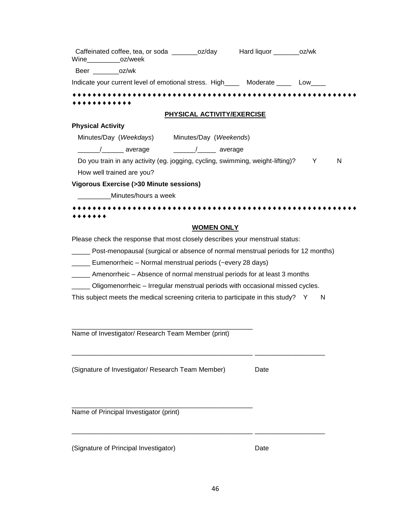| Wine_____________oz/week  |                                                          |                                   | Caffeinated coffee, tea, or soda _________oz/day Hard liquor _________oz/wk            |   |   |
|---------------------------|----------------------------------------------------------|-----------------------------------|----------------------------------------------------------------------------------------|---|---|
| Beer oz/wk                |                                                          |                                   |                                                                                        |   |   |
|                           |                                                          |                                   | Indicate your current level of emotional stress. High_______ Moderate _______ Low_____ |   |   |
|                           |                                                          |                                   |                                                                                        |   |   |
|                           |                                                          | <b>PHYSICAL ACTIVITY/EXERCISE</b> |                                                                                        |   |   |
| <b>Physical Activity</b>  |                                                          |                                   |                                                                                        |   |   |
|                           | Minutes/Day (Weekdays) Minutes/Day (Weekends)            |                                   |                                                                                        |   |   |
|                           |                                                          |                                   |                                                                                        |   |   |
|                           |                                                          |                                   | Do you train in any activity (eg. jogging, cycling, swimming, weight-lifting)?         | Y | N |
| How well trained are you? |                                                          |                                   |                                                                                        |   |   |
|                           | <b>Vigorous Exercise (&gt;30 Minute sessions)</b>        |                                   |                                                                                        |   |   |
|                           | Minutes/hours a week                                     |                                   |                                                                                        |   |   |
|                           |                                                          |                                   |                                                                                        |   |   |
|                           |                                                          |                                   |                                                                                        |   |   |
|                           |                                                          | <b>WOMEN ONLY</b>                 |                                                                                        |   |   |
|                           |                                                          |                                   | Please check the response that most closely describes your menstrual status:           |   |   |
|                           |                                                          |                                   | Post-menopausal (surgical or absence of normal menstrual periods for 12 months)        |   |   |
|                           | Eumenorrheic – Normal menstrual periods (~every 28 days) |                                   |                                                                                        |   |   |
|                           |                                                          |                                   | ______ Amenorrheic - Absence of normal menstrual periods for at least 3 months         |   |   |
|                           |                                                          |                                   | Oligomenorrheic - Irregular menstrual periods with occasional missed cycles.           |   |   |
|                           |                                                          |                                   | This subject meets the medical screening criteria to participate in this study? Y      | N |   |
|                           |                                                          |                                   |                                                                                        |   |   |
|                           |                                                          |                                   |                                                                                        |   |   |
|                           | Name of Investigator/ Research Team Member (print)       |                                   |                                                                                        |   |   |

(Signature of Investigator/ Research Team Member) Date

\_\_\_\_\_\_\_\_\_\_\_\_\_\_\_\_\_\_\_\_\_\_\_\_\_\_\_\_\_\_\_\_\_\_\_\_\_\_\_\_\_\_\_\_\_\_\_\_\_

\_\_\_\_\_\_\_\_\_\_\_\_\_\_\_\_\_\_\_\_\_\_\_\_\_\_\_\_\_\_\_\_\_\_\_\_\_\_\_\_\_\_\_\_\_\_\_\_\_ \_\_\_\_\_\_\_\_\_\_\_\_\_\_\_\_\_\_\_

\_\_\_\_\_\_\_\_\_\_\_\_\_\_\_\_\_\_\_\_\_\_\_\_\_\_\_\_\_\_\_\_\_\_\_\_\_\_\_\_\_\_\_\_\_\_\_\_\_ \_\_\_\_\_\_\_\_\_\_\_\_\_\_\_\_\_\_\_

Name of Principal Investigator (print)

(Signature of Principal Investigator) and the Date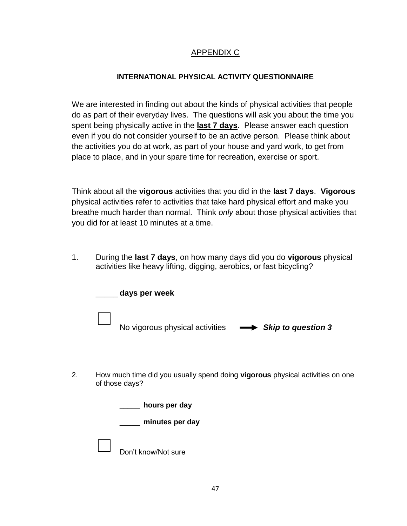## APPENDIX C

## **INTERNATIONAL PHYSICAL ACTIVITY QUESTIONNAIRE**

We are interested in finding out about the kinds of physical activities that people do as part of their everyday lives. The questions will ask you about the time you spent being physically active in the **last 7 days**. Please answer each question even if you do not consider yourself to be an active person. Please think about the activities you do at work, as part of your house and yard work, to get from place to place, and in your spare time for recreation, exercise or sport.

Think about all the **vigorous** activities that you did in the **last 7 days**. **Vigorous** physical activities refer to activities that take hard physical effort and make you breathe much harder than normal. Think *only* about those physical activities that you did for at least 10 minutes at a time.

1. During the **last 7 days**, on how many days did you do **vigorous** physical activities like heavy lifting, digging, aerobics, or fast bicycling?

| days per week                                                   |  |
|-----------------------------------------------------------------|--|
| No vigorous physical activities <b>-&gt; Skip to question 3</b> |  |

2. How much time did you usually spend doing **vigorous** physical activities on one of those days?

| hours per day       |  |  |  |  |
|---------------------|--|--|--|--|
| minutes per day     |  |  |  |  |
| Don't know/Not sure |  |  |  |  |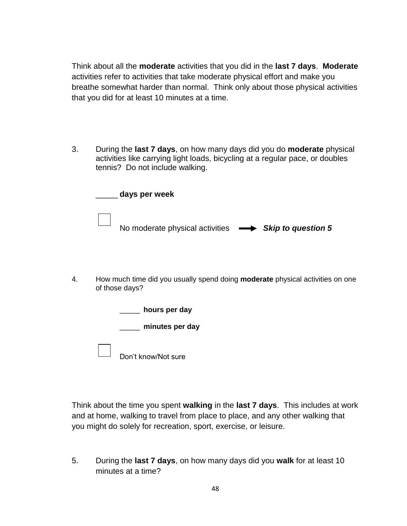Think about all the **moderate** activities that you did in the **last 7 days**. **Moderate** activities refer to activities that take moderate physical effort and make you breathe somewhat harder than normal. Think only about those physical activities that you did for at least 10 minutes at a time.

3. During the **last 7 days**, on how many days did you do **moderate** physical activities like carrying light loads, bicycling at a regular pace, or doubles tennis? Do not include walking.

| days per week                                                        |  |
|----------------------------------------------------------------------|--|
| No moderate physical activities $\longrightarrow$ Skip to question 5 |  |

4. How much time did you usually spend doing **moderate** physical activities on one of those days?

| hours per day       |
|---------------------|
| minutes per day     |
| Don't know/Not sure |

Think about the time you spent **walking** in the **last 7 days**. This includes at work and at home, walking to travel from place to place, and any other walking that you might do solely for recreation, sport, exercise, or leisure.

5. During the **last 7 days**, on how many days did you **walk** for at least 10 minutes at a time?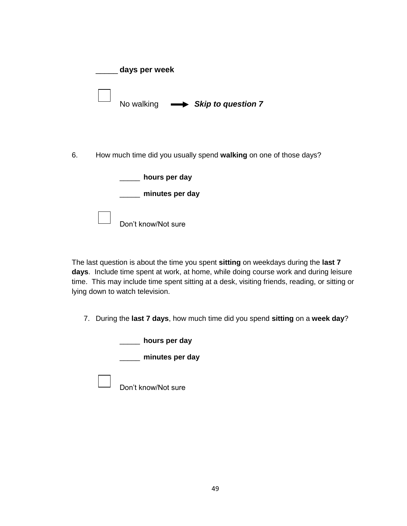|    | days per week                                                     |
|----|-------------------------------------------------------------------|
|    | No walking $\longrightarrow$ Skip to question 7                   |
| 6. | How much time did you usually spend walking on one of those days? |
|    | hours per day<br>minutes per day                                  |
|    | Don't know/Not sure                                               |

The last question is about the time you spent **sitting** on weekdays during the **last 7 days**. Include time spent at work, at home, while doing course work and during leisure time. This may include time spent sitting at a desk, visiting friends, reading, or sitting or lying down to watch television.

7. During the **last 7 days**, how much time did you spend **sitting** on a **week day**?

\_\_\_\_\_ **hours per day**

\_\_\_\_\_ **minutes per day**

Don't know/Not sure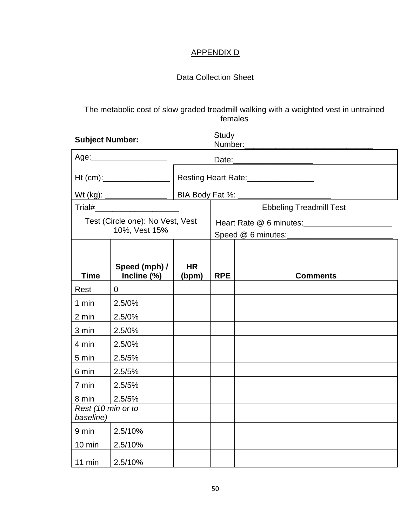# APPENDIX D

# Data Collection Sheet

The metabolic cost of slow graded treadmill walking with a weighted vest in untrained females

| <b>Subject Number:</b>                            |                                        | Study<br>Number:   |                                                   |                                |  |
|---------------------------------------------------|----------------------------------------|--------------------|---------------------------------------------------|--------------------------------|--|
|                                                   | Age: ________________________<br>Date: |                    |                                                   |                                |  |
|                                                   |                                        |                    | Resting Heart Rate:<br><u>Letting</u> Heart Rate: |                                |  |
|                                                   |                                        |                    |                                                   |                                |  |
| Trial#                                            |                                        |                    |                                                   | <b>Ebbeling Treadmill Test</b> |  |
| Test (Circle one): No Vest, Vest<br>10%, Vest 15% |                                        |                    | Heart Rate @ 6 minutes: _______________________   |                                |  |
| <b>Time</b>                                       | Speed (mph) /<br>Incline (%)           | <b>HR</b><br>(bpm) | <b>RPE</b>                                        | <b>Comments</b>                |  |
| Rest                                              | $\mathbf 0$                            |                    |                                                   |                                |  |
| 1 min                                             | 2.5/0%                                 |                    |                                                   |                                |  |
| 2 min                                             | 2.5/0%                                 |                    |                                                   |                                |  |
| 3 min                                             | 2.5/0%                                 |                    |                                                   |                                |  |
| 4 min                                             | 2.5/0%                                 |                    |                                                   |                                |  |
| 5 min                                             | 2.5/5%                                 |                    |                                                   |                                |  |
| 6 min                                             | 2.5/5%                                 |                    |                                                   |                                |  |
| 7 min                                             | 2.5/5%                                 |                    |                                                   |                                |  |
| 8 min                                             | 2.5/5%                                 |                    |                                                   |                                |  |
| Rest (10 min or to<br>baseline)                   |                                        |                    |                                                   |                                |  |
| 9 min                                             | 2.5/10%                                |                    |                                                   |                                |  |
| $10 \text{ min}$                                  | 2.5/10%                                |                    |                                                   |                                |  |
| 11 min                                            | 2.5/10%                                |                    |                                                   |                                |  |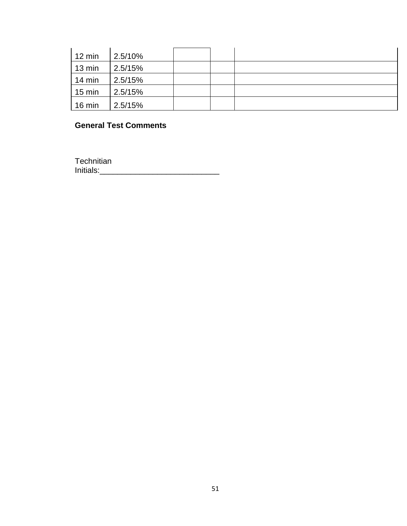| 12 min           | 2.5/10% |  |  |
|------------------|---------|--|--|
| 13 min           | 2.5/15% |  |  |
| 14 min           | 2.5/15% |  |  |
| $15 \text{ min}$ | 2.5/15% |  |  |
| 16 min           | 2.5/15% |  |  |

# **General Test Comments**

**Technitian** Initials:\_\_\_\_\_\_\_\_\_\_\_\_\_\_\_\_\_\_\_\_\_\_\_\_\_\_\_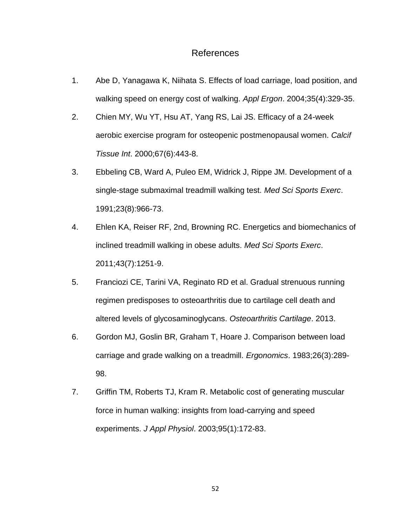## References

- <span id="page-62-3"></span>1. Abe D, Yanagawa K, Niihata S. Effects of load carriage, load position, and walking speed on energy cost of walking. *Appl Ergon*. 2004;35(4):329-35.
- <span id="page-62-0"></span>2. Chien MY, Wu YT, Hsu AT, Yang RS, Lai JS. Efficacy of a 24-week aerobic exercise program for osteopenic postmenopausal women. *Calcif Tissue Int*. 2000;67(6):443-8.
- <span id="page-62-5"></span>3. Ebbeling CB, Ward A, Puleo EM, Widrick J, Rippe JM. Development of a single-stage submaximal treadmill walking test. *Med Sci Sports Exerc*. 1991;23(8):966-73.
- <span id="page-62-1"></span>4. Ehlen KA, Reiser RF, 2nd, Browning RC. Energetics and biomechanics of inclined treadmill walking in obese adults. *Med Sci Sports Exerc*. 2011;43(7):1251-9.
- <span id="page-62-4"></span>5. Franciozi CE, Tarini VA, Reginato RD et al. Gradual strenuous running regimen predisposes to osteoarthritis due to cartilage cell death and altered levels of glycosaminoglycans. *Osteoarthritis Cartilage*. 2013.
- <span id="page-62-6"></span>6. Gordon MJ, Goslin BR, Graham T, Hoare J. Comparison between load carriage and grade walking on a treadmill. *Ergonomics*. 1983;26(3):289- 98.
- <span id="page-62-2"></span>7. Griffin TM, Roberts TJ, Kram R. Metabolic cost of generating muscular force in human walking: insights from load-carrying and speed experiments. *J Appl Physiol*. 2003;95(1):172-83.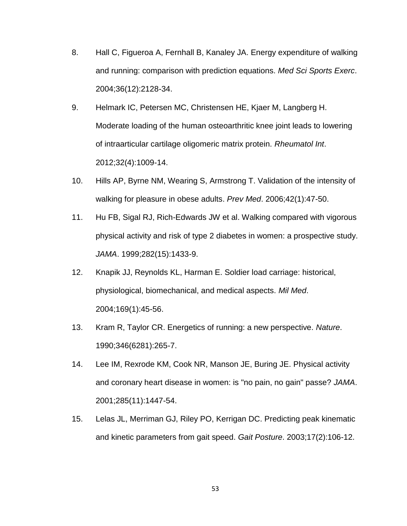- <span id="page-63-4"></span>8. Hall C, Figueroa A, Fernhall B, Kanaley JA. Energy expenditure of walking and running: comparison with prediction equations. *Med Sci Sports Exerc*. 2004;36(12):2128-34.
- <span id="page-63-6"></span>9. Helmark IC, Petersen MC, Christensen HE, Kjaer M, Langberg H. Moderate loading of the human osteoarthritic knee joint leads to lowering of intraarticular cartilage oligomeric matrix protein. *Rheumatol Int*. 2012;32(4):1009-14.
- <span id="page-63-0"></span>10. Hills AP, Byrne NM, Wearing S, Armstrong T. Validation of the intensity of walking for pleasure in obese adults. *Prev Med*. 2006;42(1):47-50.
- <span id="page-63-1"></span>11. Hu FB, Sigal RJ, Rich-Edwards JW et al. Walking compared with vigorous physical activity and risk of type 2 diabetes in women: a prospective study. *JAMA*. 1999;282(15):1433-9.
- <span id="page-63-3"></span>12. Knapik JJ, Reynolds KL, Harman E. Soldier load carriage: historical, physiological, biomechanical, and medical aspects. *Mil Med*. 2004;169(1):45-56.
- <span id="page-63-5"></span>13. Kram R, Taylor CR. Energetics of running: a new perspective. *Nature*. 1990;346(6281):265-7.
- <span id="page-63-2"></span>14. Lee IM, Rexrode KM, Cook NR, Manson JE, Buring JE. Physical activity and coronary heart disease in women: is "no pain, no gain" passe? *JAMA*. 2001;285(11):1447-54.
- <span id="page-63-7"></span>15. Lelas JL, Merriman GJ, Riley PO, Kerrigan DC. Predicting peak kinematic and kinetic parameters from gait speed. *Gait Posture*. 2003;17(2):106-12.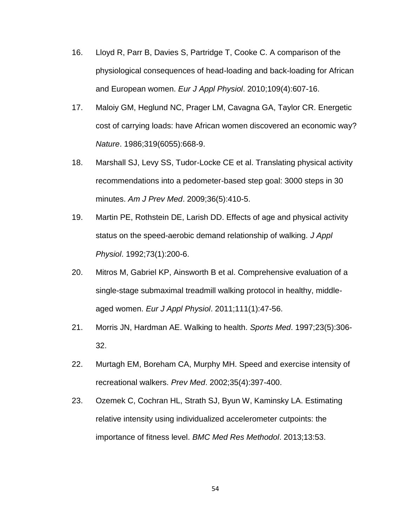- <span id="page-64-5"></span>16. Lloyd R, Parr B, Davies S, Partridge T, Cooke C. A comparison of the physiological consequences of head-loading and back-loading for African and European women. *Eur J Appl Physiol*. 2010;109(4):607-16.
- <span id="page-64-4"></span>17. Maloiy GM, Heglund NC, Prager LM, Cavagna GA, Taylor CR. Energetic cost of carrying loads: have African women discovered an economic way? *Nature*. 1986;319(6055):668-9.
- <span id="page-64-2"></span>18. Marshall SJ, Levy SS, Tudor-Locke CE et al. Translating physical activity recommendations into a pedometer-based step goal: 3000 steps in 30 minutes. *Am J Prev Med*. 2009;36(5):410-5.
- <span id="page-64-1"></span>19. Martin PE, Rothstein DE, Larish DD. Effects of age and physical activity status on the speed-aerobic demand relationship of walking. *J Appl Physiol*. 1992;73(1):200-6.
- <span id="page-64-6"></span>20. Mitros M, Gabriel KP, Ainsworth B et al. Comprehensive evaluation of a single-stage submaximal treadmill walking protocol in healthy, middleaged women. *Eur J Appl Physiol*. 2011;111(1):47-56.
- <span id="page-64-0"></span>21. Morris JN, Hardman AE. Walking to health. *Sports Med*. 1997;23(5):306- 32.
- <span id="page-64-3"></span>22. Murtagh EM, Boreham CA, Murphy MH. Speed and exercise intensity of recreational walkers. *Prev Med*. 2002;35(4):397-400.
- <span id="page-64-7"></span>23. Ozemek C, Cochran HL, Strath SJ, Byun W, Kaminsky LA. Estimating relative intensity using individualized accelerometer cutpoints: the importance of fitness level. *BMC Med Res Methodol*. 2013;13:53.